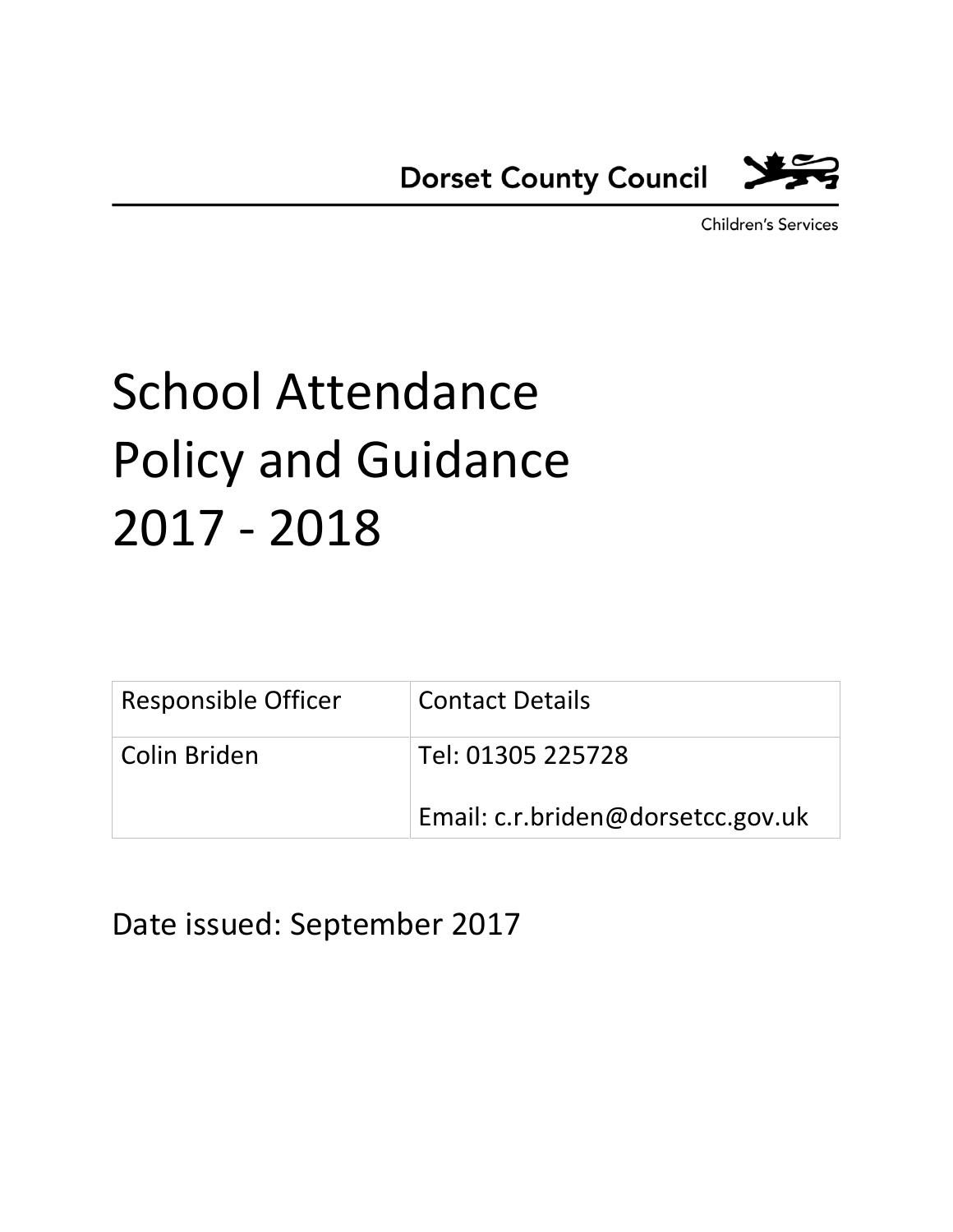

**Children's Services** 

# School Attendance Policy and Guidance 2017 - 2018

| Responsible Officer | <b>Contact Details</b>            |
|---------------------|-----------------------------------|
| Colin Briden        | Tel: 01305 225728                 |
|                     | Email: c.r.briden@dorsetcc.gov.uk |

Date issued: September 2017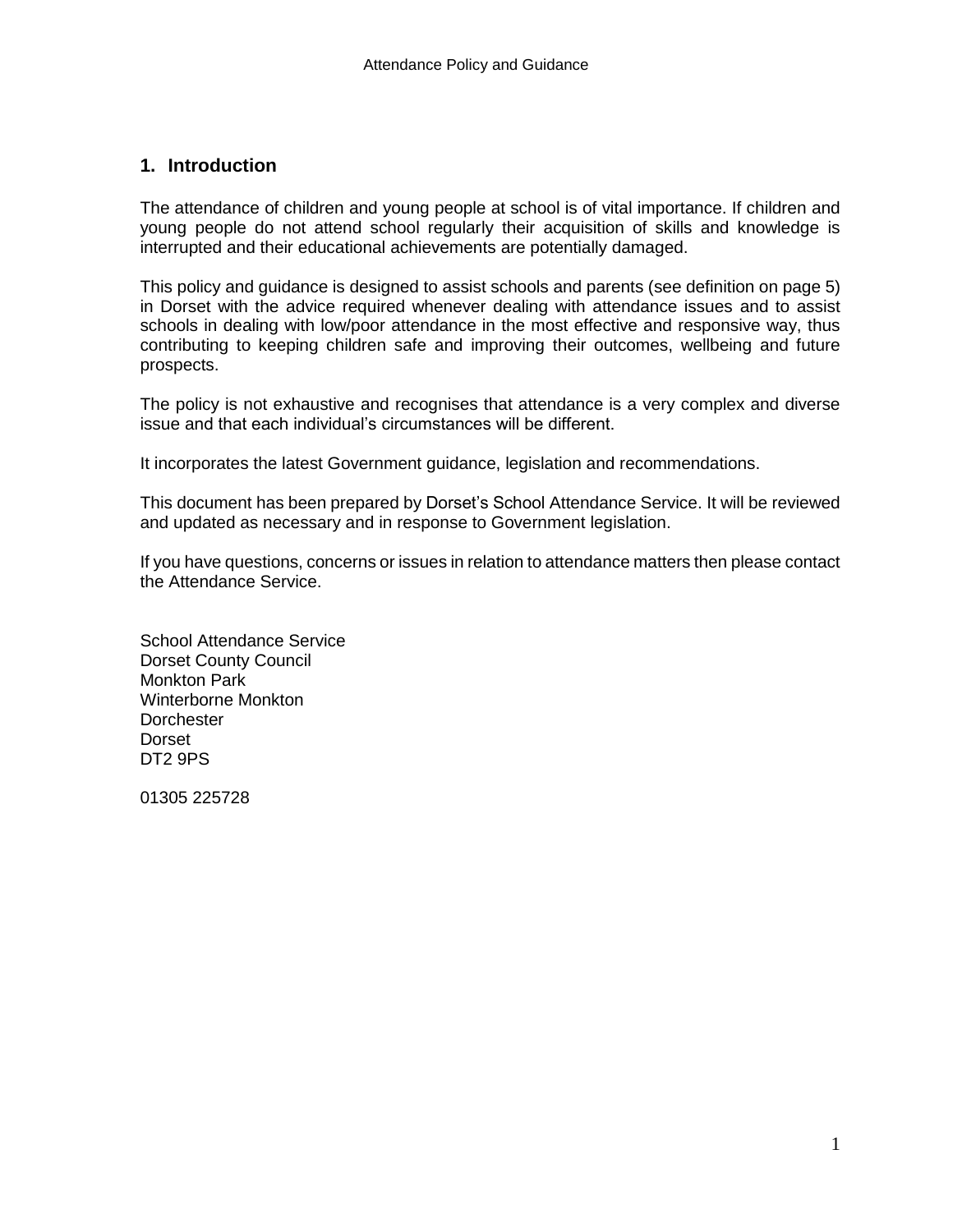#### **1. Introduction**

The attendance of children and young people at school is of vital importance. If children and young people do not attend school regularly their acquisition of skills and knowledge is interrupted and their educational achievements are potentially damaged.

This policy and guidance is designed to assist schools and parents (see definition on page 5) in Dorset with the advice required whenever dealing with attendance issues and to assist schools in dealing with low/poor attendance in the most effective and responsive way, thus contributing to keeping children safe and improving their outcomes, wellbeing and future prospects.

The policy is not exhaustive and recognises that attendance is a very complex and diverse issue and that each individual's circumstances will be different.

It incorporates the latest Government guidance, legislation and recommendations.

This document has been prepared by Dorset's School Attendance Service. It will be reviewed and updated as necessary and in response to Government legislation.

If you have questions, concerns or issues in relation to attendance matters then please contact the Attendance Service.

School Attendance Service Dorset County Council Monkton Park Winterborne Monkton **Dorchester** Dorset DT2 9PS

01305 225728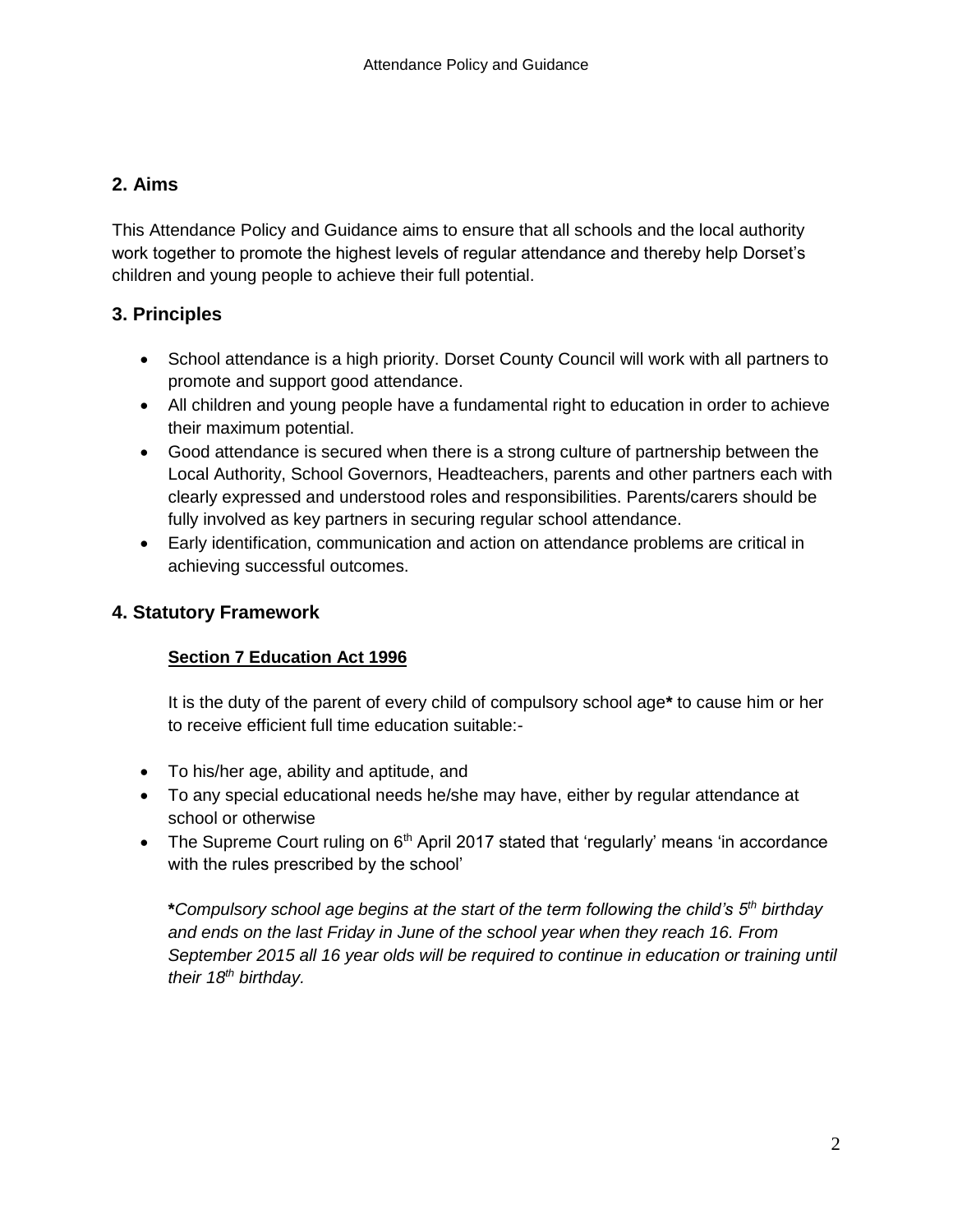# **2. Aims**

This Attendance Policy and Guidance aims to ensure that all schools and the local authority work together to promote the highest levels of regular attendance and thereby help Dorset's children and young people to achieve their full potential.

# **3. Principles**

- School attendance is a high priority. Dorset County Council will work with all partners to promote and support good attendance.
- All children and young people have a fundamental right to education in order to achieve their maximum potential.
- Good attendance is secured when there is a strong culture of partnership between the Local Authority, School Governors, Headteachers, parents and other partners each with clearly expressed and understood roles and responsibilities. Parents/carers should be fully involved as key partners in securing regular school attendance.
- Early identification, communication and action on attendance problems are critical in achieving successful outcomes.

# **4. Statutory Framework**

# **Section 7 Education Act 1996**

It is the duty of the parent of every child of compulsory school age**\*** to cause him or her to receive efficient full time education suitable:-

- To his/her age, ability and aptitude, and
- To any special educational needs he/she may have, either by regular attendance at school or otherwise
- The Supreme Court ruling on  $6<sup>th</sup>$  April 2017 stated that 'regularly' means 'in accordance with the rules prescribed by the school'

**\****Compulsory school age begins at the start of the term following the child's 5th birthday and ends on the last Friday in June of the school year when they reach 16. From September 2015 all 16 year olds will be required to continue in education or training until their 18th birthday.*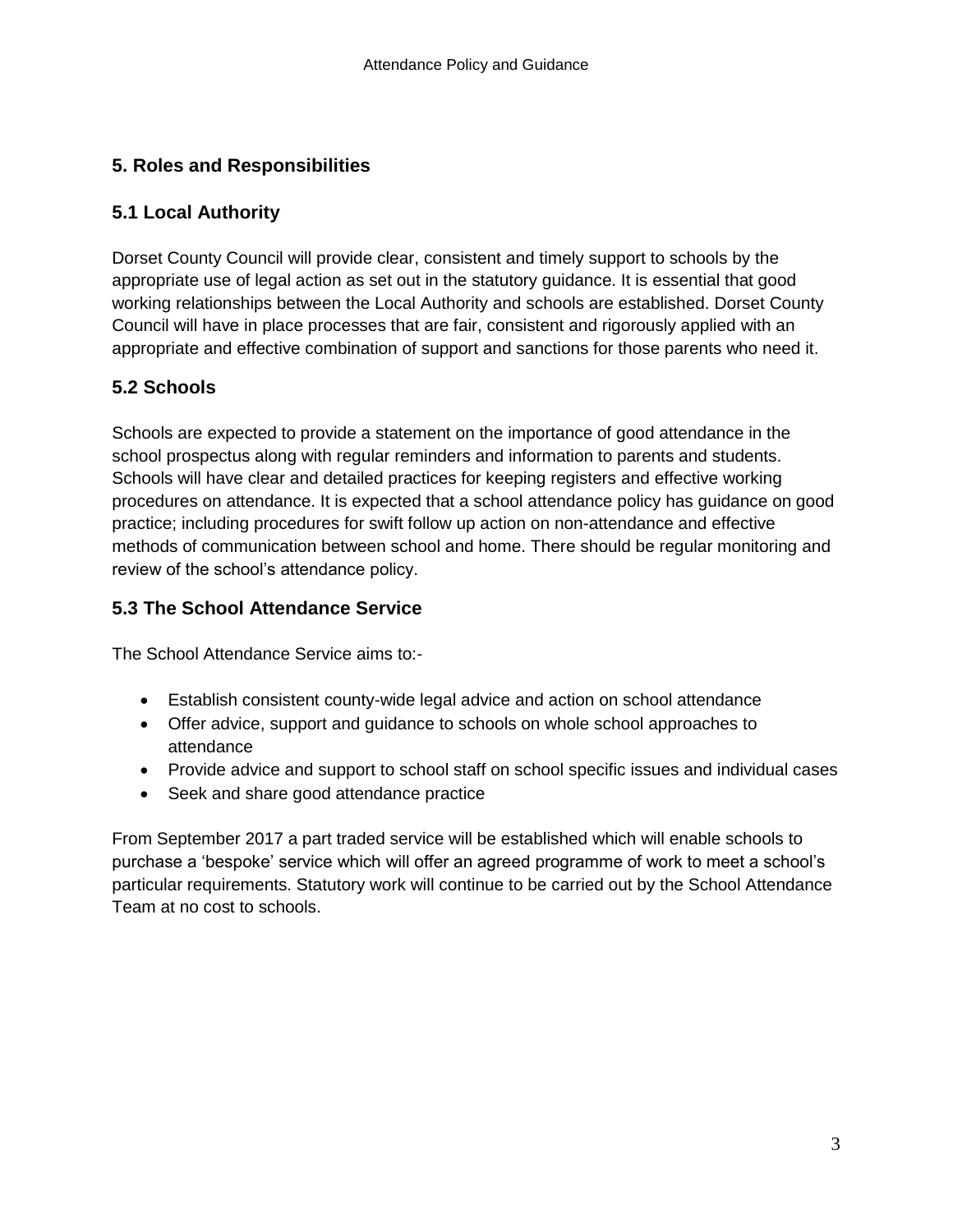# **5. Roles and Responsibilities**

# **5.1 Local Authority**

Dorset County Council will provide clear, consistent and timely support to schools by the appropriate use of legal action as set out in the statutory guidance. It is essential that good working relationships between the Local Authority and schools are established. Dorset County Council will have in place processes that are fair, consistent and rigorously applied with an appropriate and effective combination of support and sanctions for those parents who need it.

# **5.2 Schools**

Schools are expected to provide a statement on the importance of good attendance in the school prospectus along with regular reminders and information to parents and students. Schools will have clear and detailed practices for keeping registers and effective working procedures on attendance. It is expected that a school attendance policy has guidance on good practice; including procedures for swift follow up action on non-attendance and effective methods of communication between school and home. There should be regular monitoring and review of the school's attendance policy.

# **5.3 The School Attendance Service**

The School Attendance Service aims to:-

- Establish consistent county-wide legal advice and action on school attendance
- Offer advice, support and guidance to schools on whole school approaches to attendance
- Provide advice and support to school staff on school specific issues and individual cases
- Seek and share good attendance practice

From September 2017 a part traded service will be established which will enable schools to purchase a 'bespoke' service which will offer an agreed programme of work to meet a school's particular requirements. Statutory work will continue to be carried out by the School Attendance Team at no cost to schools.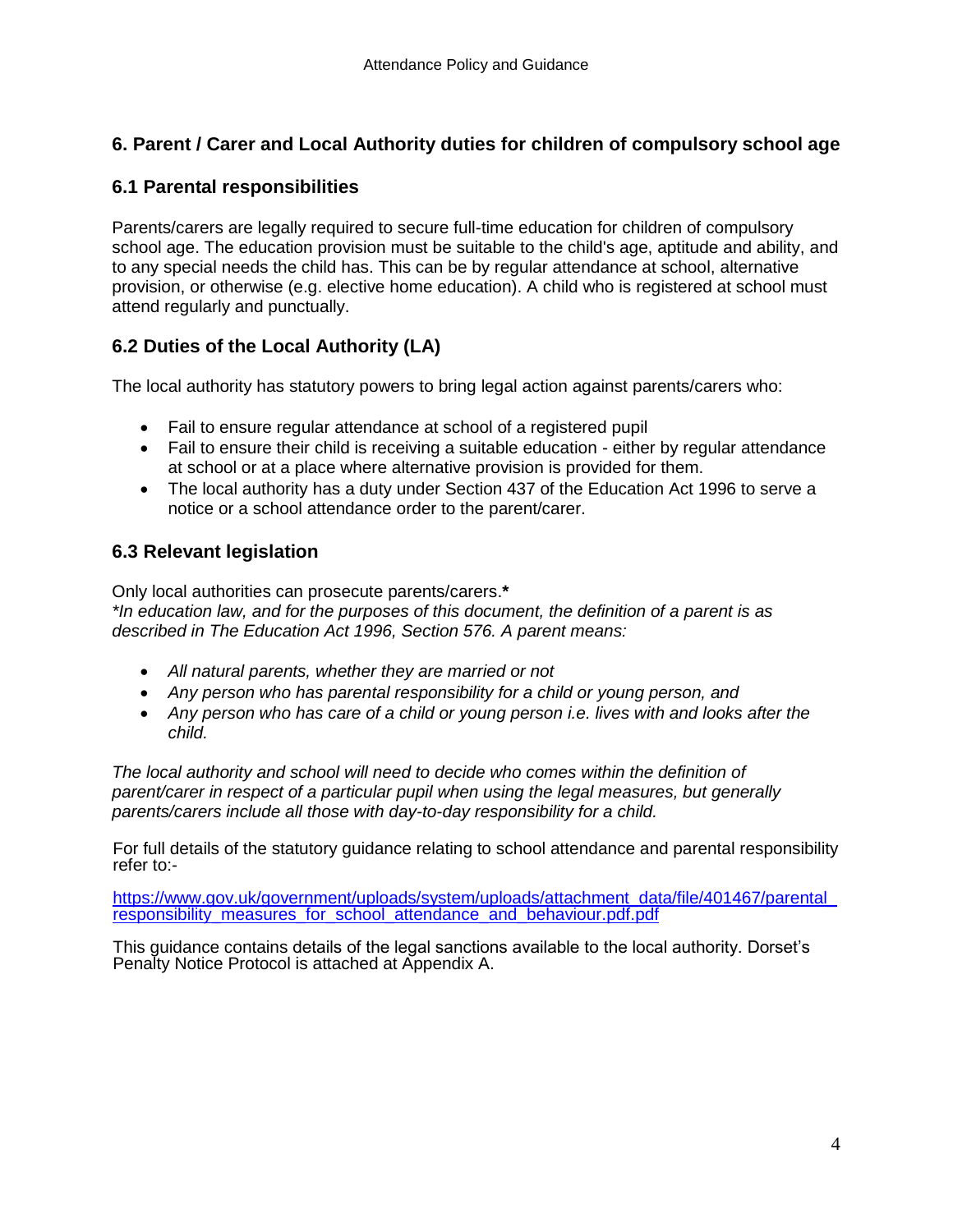# **6. Parent / Carer and Local Authority duties for children of compulsory school age**

#### **6.1 Parental responsibilities**

Parents/carers are legally required to secure full-time education for children of compulsory school age. The education provision must be suitable to the child's age, aptitude and ability, and to any special needs the child has. This can be by regular attendance at school, alternative provision, or otherwise (e.g. elective home education). A child who is registered at school must attend regularly and punctually.

# **6.2 Duties of the Local Authority (LA)**

The local authority has statutory powers to bring legal action against parents/carers who:

- Fail to ensure regular attendance at school of a registered pupil
- Fail to ensure their child is receiving a suitable education either by regular attendance at school or at a place where alternative provision is provided for them.
- The local authority has a duty under Section 437 of the Education Act 1996 to serve a notice or a school attendance order to the parent/carer.

# **6.3 Relevant legislation**

Only local authorities can prosecute parents/carers.**\*** *\*In education law, and for the purposes of this document, the definition of a parent is as described in The Education Act 1996, Section 576. A parent means:*

- *All natural parents, whether they are married or not*
- *Any person who has parental responsibility for a child or young person, and*
- *Any person who has care of a child or young person i.e. lives with and looks after the child.*

*The local authority and school will need to decide who comes within the definition of parent/carer in respect of a particular pupil when using the legal measures, but generally parents/carers include all those with day-to-day responsibility for a child.*

For full details of the statutory guidance relating to school attendance and parental responsibility refer to:-

[https://www.gov.uk/government/uploads/system/uploads/attachment\\_data/file/401467/parental\\_](https://www.gov.uk/government/uploads/system/uploads/attachment_data/file/401467/parental_responsibility_measures_for_school_attendance_and_behaviour.pdf.pdf) responsibility measures for school attendance and behaviour.pdf.pdf

This guidance contains details of the legal sanctions available to the local authority. Dorset's Penalty Notice Protocol is attached at Appendix A.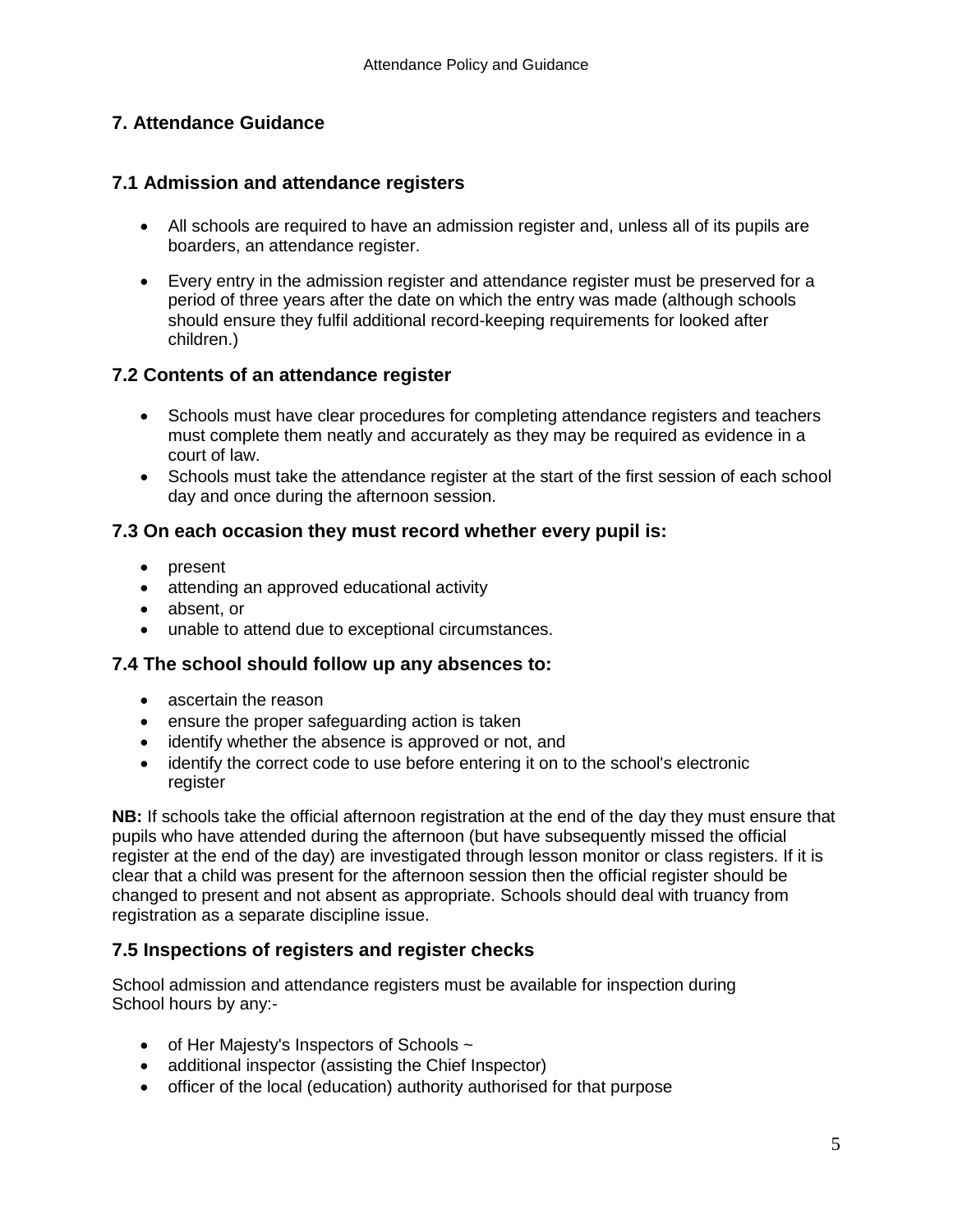# **7. Attendance Guidance**

### **7.1 Admission and attendance registers**

- All schools are required to have an admission register and, unless all of its pupils are boarders, an attendance register.
- Every entry in the admission register and attendance register must be preserved for a period of three years after the date on which the entry was made (although schools should ensure they fulfil additional record-keeping requirements for looked after children.)

#### **7.2 Contents of an attendance register**

- Schools must have clear procedures for completing attendance registers and teachers must complete them neatly and accurately as they may be required as evidence in a court of law.
- Schools must take the attendance register at the start of the first session of each school day and once during the afternoon session.

# **7.3 On each occasion they must record whether every pupil is:**

- present
- attending an approved educational activity
- absent, or
- unable to attend due to exceptional circumstances.

#### **7.4 The school should follow up any absences to:**

- ascertain the reason
- ensure the proper safeguarding action is taken
- identify whether the absence is approved or not, and
- identify the correct code to use before entering it on to the school's electronic register

**NB:** If schools take the official afternoon registration at the end of the day they must ensure that pupils who have attended during the afternoon (but have subsequently missed the official register at the end of the day) are investigated through lesson monitor or class registers. If it is clear that a child was present for the afternoon session then the official register should be changed to present and not absent as appropriate. Schools should deal with truancy from registration as a separate discipline issue.

# **7.5 Inspections of registers and register checks**

School admission and attendance registers must be available for inspection during School hours by any:-

- $\bullet$  of Her Majesty's Inspectors of Schools  $\sim$
- additional inspector (assisting the Chief Inspector)
- officer of the local (education) authority authorised for that purpose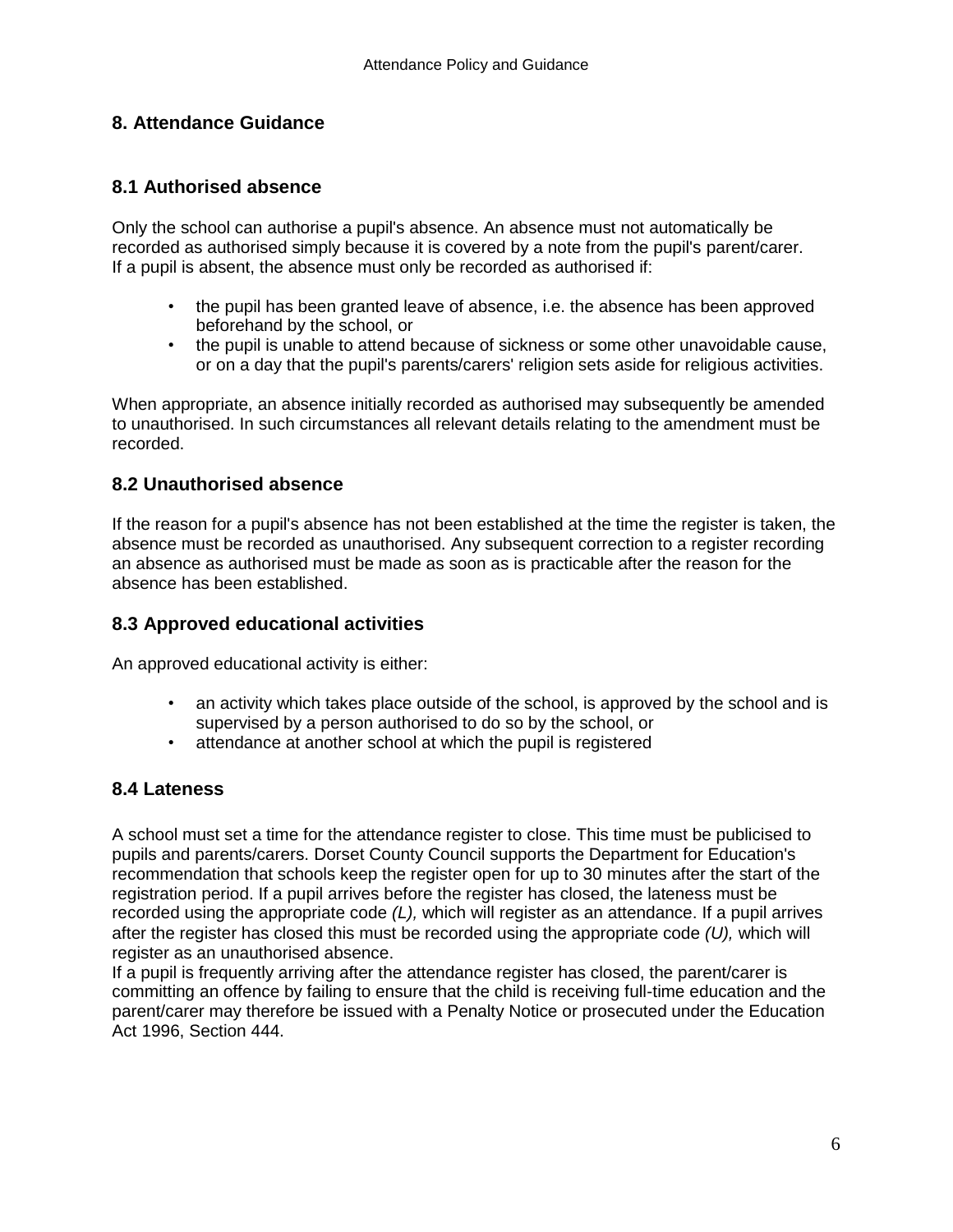# **8. Attendance Guidance**

#### **8.1 Authorised absence**

Only the school can authorise a pupil's absence. An absence must not automatically be recorded as authorised simply because it is covered by a note from the pupil's parent/carer. If a pupil is absent, the absence must only be recorded as authorised if:

- the pupil has been granted leave of absence, i.e. the absence has been approved beforehand by the school, or
- the pupil is unable to attend because of sickness or some other unavoidable cause, or on a day that the pupil's parents/carers' religion sets aside for religious activities.

When appropriate, an absence initially recorded as authorised may subsequently be amended to unauthorised. In such circumstances all relevant details relating to the amendment must be recorded.

#### **8.2 Unauthorised absence**

If the reason for a pupil's absence has not been established at the time the register is taken, the absence must be recorded as unauthorised. Any subsequent correction to a register recording an absence as authorised must be made as soon as is practicable after the reason for the absence has been established.

#### **8.3 Approved educational activities**

An approved educational activity is either:

- an activity which takes place outside of the school, is approved by the school and is supervised by a person authorised to do so by the school, or
- attendance at another school at which the pupil is registered

#### **8.4 Lateness**

A school must set a time for the attendance register to close. This time must be publicised to pupils and parents/carers. Dorset County Council supports the Department for Education's recommendation that schools keep the register open for up to 30 minutes after the start of the registration period. If a pupil arrives before the register has closed, the lateness must be recorded using the appropriate code *(L),* which will register as an attendance. If a pupil arrives after the register has closed this must be recorded using the appropriate code *(U),* which will register as an unauthorised absence.

If a pupil is frequently arriving after the attendance register has closed, the parent/carer is committing an offence by failing to ensure that the child is receiving full-time education and the parent/carer may therefore be issued with a Penalty Notice or prosecuted under the Education Act 1996, Section 444.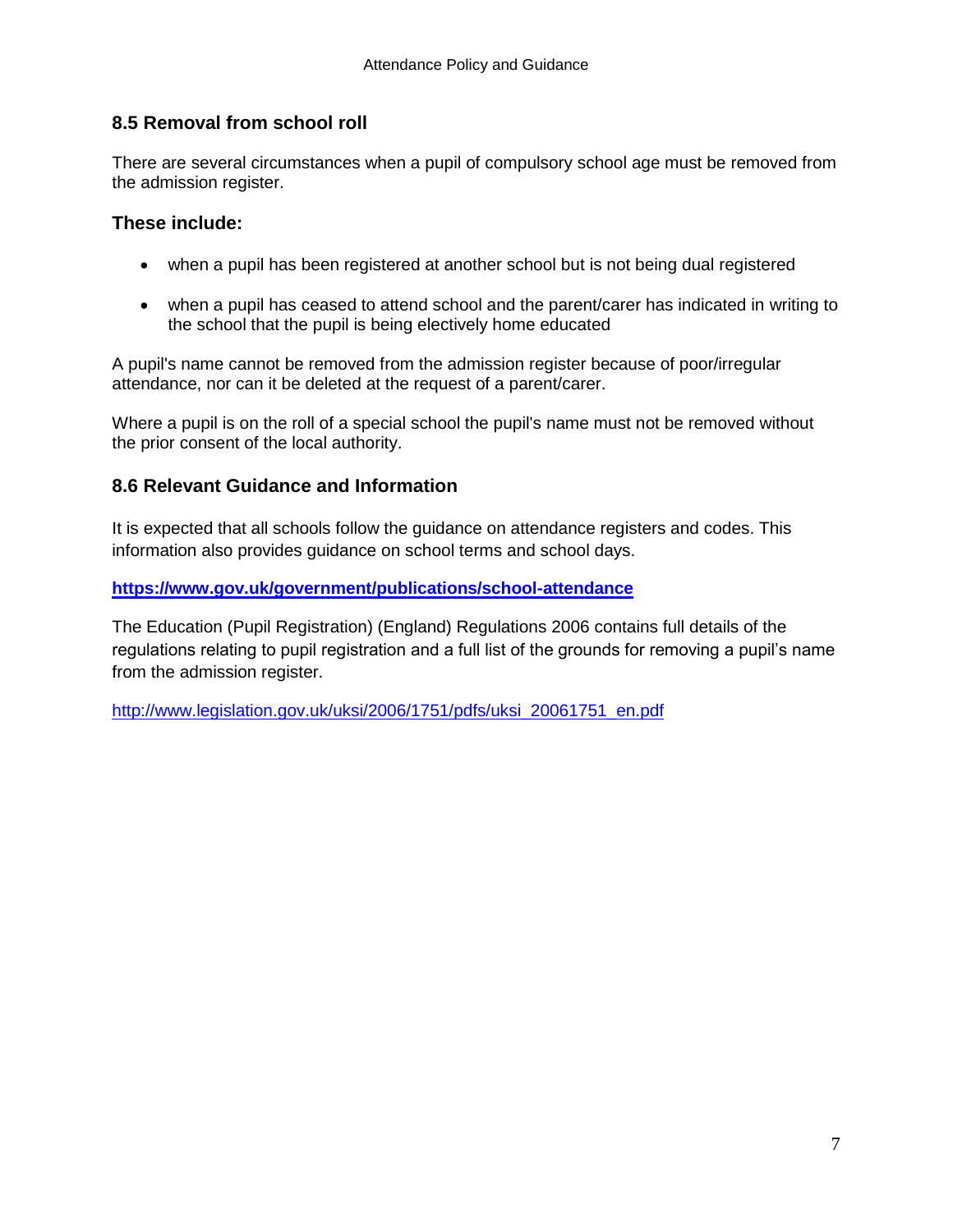# **8.5 Removal from school roll**

There are several circumstances when a pupil of compulsory school age must be removed from the admission register.

# **These include:**

- when a pupil has been registered at another school but is not being dual registered
- when a pupil has ceased to attend school and the parent/carer has indicated in writing to the school that the pupil is being electively home educated

A pupil's name cannot be removed from the admission register because of poor/irregular attendance, nor can it be deleted at the request of a parent/carer.

Where a pupil is on the roll of a special school the pupil's name must not be removed without the prior consent of the local authority.

# **8.6 Relevant Guidance and Information**

It is expected that all schools follow the guidance on attendance registers and codes. This information also provides guidance on school terms and school days.

#### **<https://www.gov.uk/government/publications/school-attendance>**

The Education (Pupil Registration) (England) Regulations 2006 contains full details of the regulations relating to pupil registration and a full list of the grounds for removing a pupil's name from the admission register.

[http://www.legislation.gov.uk/uksi/2006/1751/pdfs/uksi\\_20061751\\_en.pdf](http://www.legislation.gov.uk/uksi/2006/1751/pdfs/uksi_20061751_en.pdf)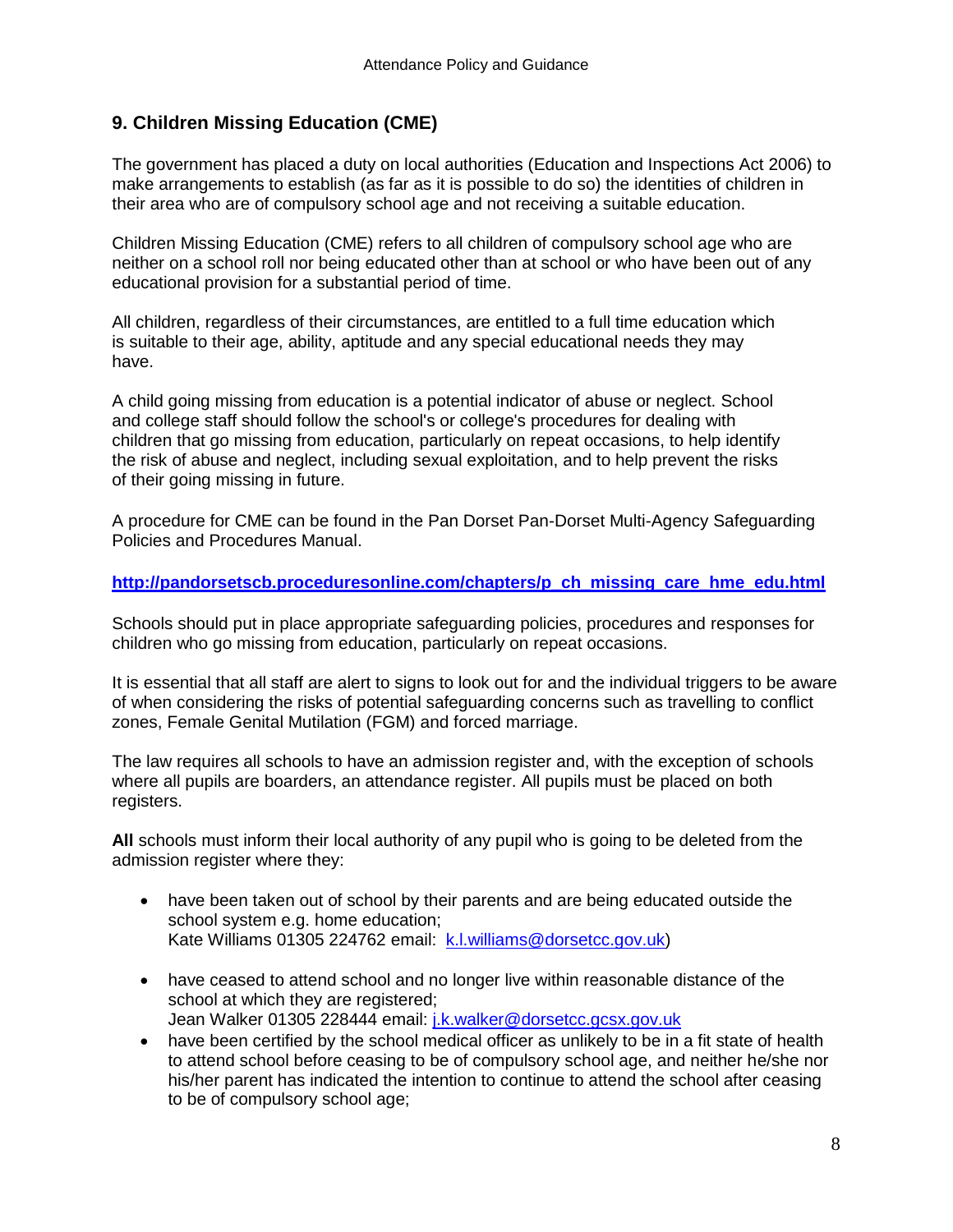# **9. Children Missing Education (CME)**

The government has placed a duty on local authorities (Education and Inspections Act 2006) to make arrangements to establish (as far as it is possible to do so) the identities of children in their area who are of compulsory school age and not receiving a suitable education.

Children Missing Education (CME) refers to all children of compulsory school age who are neither on a school roll nor being educated other than at school or who have been out of any educational provision for a substantial period of time.

All children, regardless of their circumstances, are entitled to a full time education which is suitable to their age, ability, aptitude and any special educational needs they may have.

A child going missing from education is a potential indicator of abuse or neglect. School and college staff should follow the school's or college's procedures for dealing with children that go missing from education, particularly on repeat occasions, to help identify the risk of abuse and neglect, including sexual exploitation, and to help prevent the risks of their going missing in future.

A procedure for CME can be found in the Pan Dorset Pan-Dorset Multi-Agency Safeguarding Policies and Procedures Manual.

#### **[http://pandorsetscb.proceduresonline.com/chapters/p\\_ch\\_missing\\_care\\_hme\\_edu.html](http://pandorsetscb.proceduresonline.com/chapters/p_ch_missing_care_hme_edu.html)**

Schools should put in place appropriate safeguarding policies, procedures and responses for children who go missing from education, particularly on repeat occasions.

It is essential that all staff are alert to signs to look out for and the individual triggers to be aware of when considering the risks of potential safeguarding concerns such as travelling to conflict zones, Female Genital Mutilation (FGM) and forced marriage.

The law requires all schools to have an admission register and, with the exception of schools where all pupils are boarders, an attendance register. All pupils must be placed on both registers.

**All** schools must inform their local authority of any pupil who is going to be deleted from the admission register where they:

- have been taken out of school by their parents and are being educated outside the school system e.g. home education; Kate Williams 01305 224762 email: [k.l.williams@dorsetcc.gov.uk\)](mailto:k.l.williams@dorsetcc.gov.uk)
- have ceased to attend school and no longer live within reasonable distance of the school at which they are registered; Jean Walker 01305 228444 email: [j.k.walker@dorsetcc.gcsx.gov.uk](mailto:j.k.walker@dorsetcc.gcsx.gov.uk)
- have been certified by the school medical officer as unlikely to be in a fit state of health to attend school before ceasing to be of compulsory school age, and neither he/she nor his/her parent has indicated the intention to continue to attend the school after ceasing to be of compulsory school age;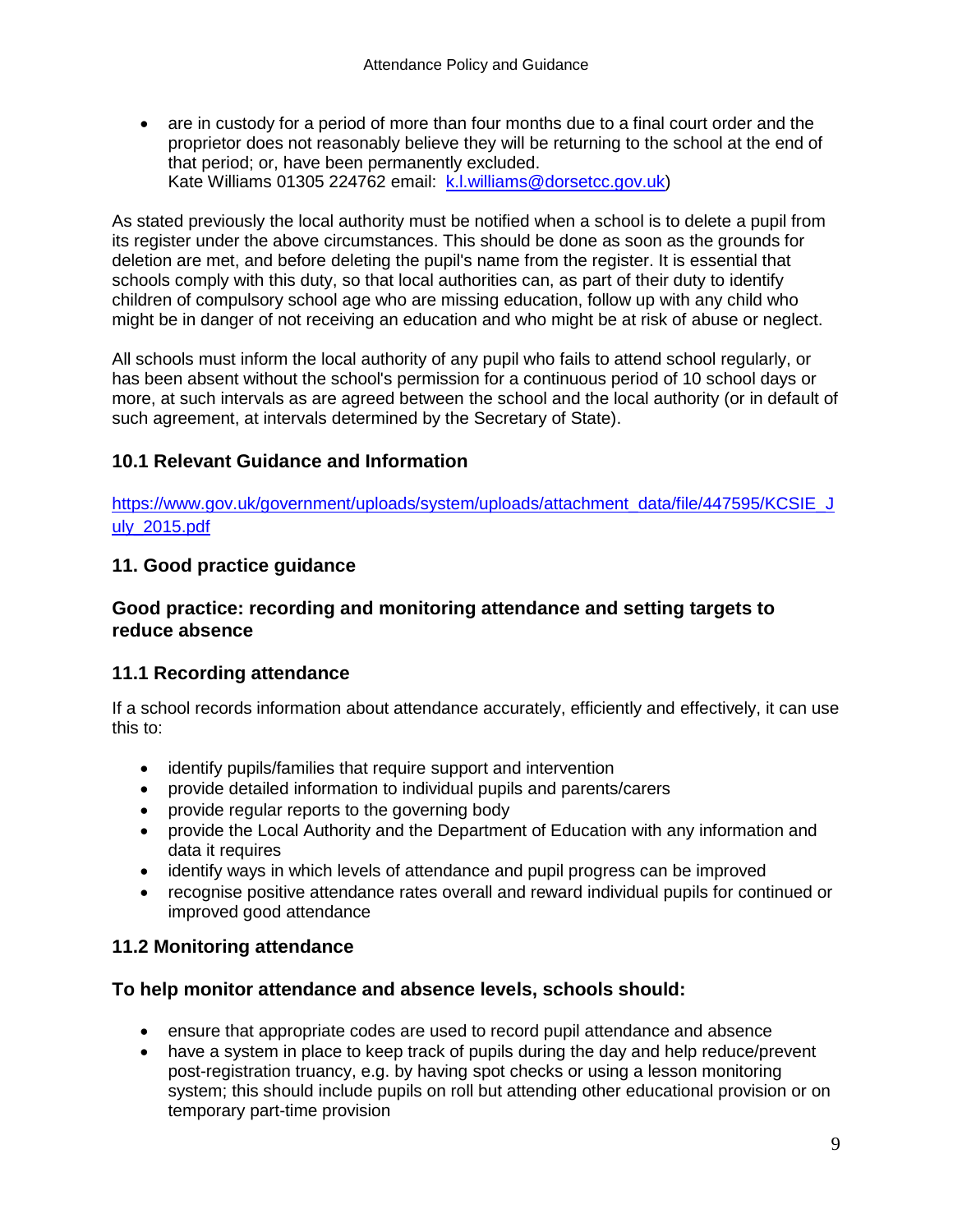• are in custody for a period of more than four months due to a final court order and the proprietor does not reasonably believe they will be returning to the school at the end of that period; or, have been permanently excluded. Kate Williams 01305 224762 email: [k.l.williams@dorsetcc.gov.uk\)](mailto:k.l.williams@dorsetcc.gov.uk)

As stated previously the local authority must be notified when a school is to delete a pupil from its register under the above circumstances. This should be done as soon as the grounds for deletion are met, and before deleting the pupil's name from the register. It is essential that schools comply with this duty, so that local authorities can, as part of their duty to identify children of compulsory school age who are missing education, follow up with any child who might be in danger of not receiving an education and who might be at risk of abuse or neglect.

All schools must inform the local authority of any pupil who fails to attend school regularly, or has been absent without the school's permission for a continuous period of 10 school days or more, at such intervals as are agreed between the school and the local authority (or in default of such agreement, at intervals determined by the Secretary of State).

# **10.1 Relevant Guidance and Information**

[https://www.gov.uk/government/uploads/system/uploads/attachment\\_data/file/447595/KCSIE\\_J](https://www.gov.uk/government/uploads/system/uploads/attachment_data/file/447595/KCSIE_July_2015.pdf) [uly\\_2015.pdf](https://www.gov.uk/government/uploads/system/uploads/attachment_data/file/447595/KCSIE_July_2015.pdf)

#### **11. Good practice guidance**

#### **Good practice: recording and monitoring attendance and setting targets to reduce absence**

#### **11.1 Recording attendance**

If a school records information about attendance accurately, efficiently and effectively, it can use this to:

- identify pupils/families that require support and intervention
- provide detailed information to individual pupils and parents/carers
- provide regular reports to the governing body
- provide the Local Authority and the Department of Education with any information and data it requires
- identify ways in which levels of attendance and pupil progress can be improved
- recognise positive attendance rates overall and reward individual pupils for continued or improved good attendance

#### **11.2 Monitoring attendance**

#### **To help monitor attendance and absence levels, schools should:**

- ensure that appropriate codes are used to record pupil attendance and absence
- have a system in place to keep track of pupils during the day and help reduce/prevent post-registration truancy, e.g. by having spot checks or using a lesson monitoring system; this should include pupils on roll but attending other educational provision or on temporary part-time provision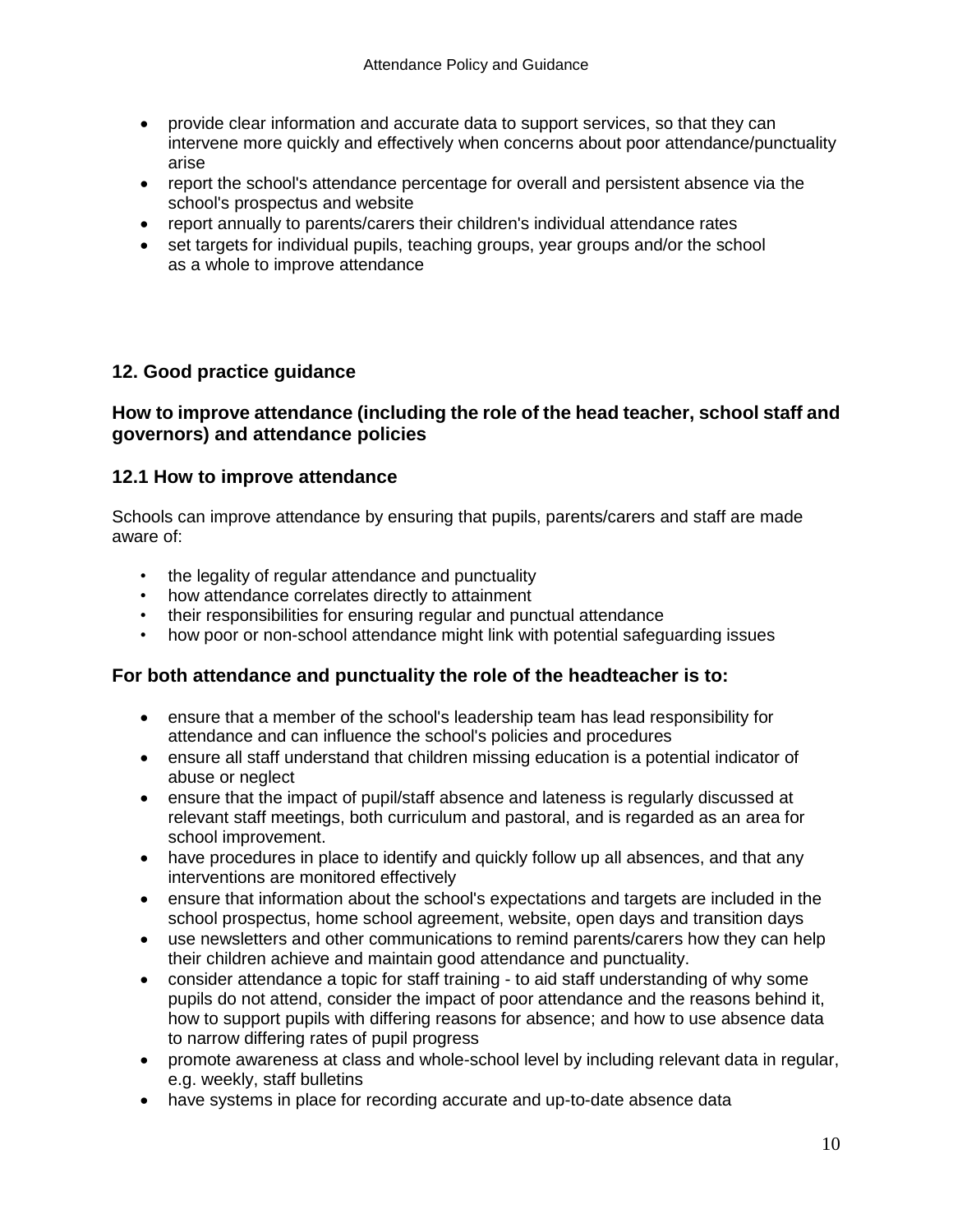- provide clear information and accurate data to support services, so that they can intervene more quickly and effectively when concerns about poor attendance/punctuality arise
- report the school's attendance percentage for overall and persistent absence via the school's prospectus and website
- report annually to parents/carers their children's individual attendance rates
- set targets for individual pupils, teaching groups, year groups and/or the school as a whole to improve attendance

#### **12. Good practice guidance**

#### **How to improve attendance (including the role of the head teacher, school staff and governors) and attendance policies**

#### **12.1 How to improve attendance**

Schools can improve attendance by ensuring that pupils, parents/carers and staff are made aware of:

- the legality of regular attendance and punctuality
- how attendance correlates directly to attainment
- their responsibilities for ensuring regular and punctual attendance
- how poor or non-school attendance might link with potential safeguarding issues

#### **For both attendance and punctuality the role of the headteacher is to:**

- ensure that a member of the school's leadership team has lead responsibility for attendance and can influence the school's policies and procedures
- ensure all staff understand that children missing education is a potential indicator of abuse or neglect
- ensure that the impact of pupil/staff absence and lateness is regularly discussed at relevant staff meetings, both curriculum and pastoral, and is regarded as an area for school improvement.
- have procedures in place to identify and quickly follow up all absences, and that any interventions are monitored effectively
- ensure that information about the school's expectations and targets are included in the school prospectus, home school agreement, website, open days and transition days
- use newsletters and other communications to remind parents/carers how they can help their children achieve and maintain good attendance and punctuality.
- consider attendance a topic for staff training to aid staff understanding of why some pupils do not attend, consider the impact of poor attendance and the reasons behind it, how to support pupils with differing reasons for absence; and how to use absence data to narrow differing rates of pupil progress
- promote awareness at class and whole-school level by including relevant data in regular, e.g. weekly, staff bulletins
- have systems in place for recording accurate and up-to-date absence data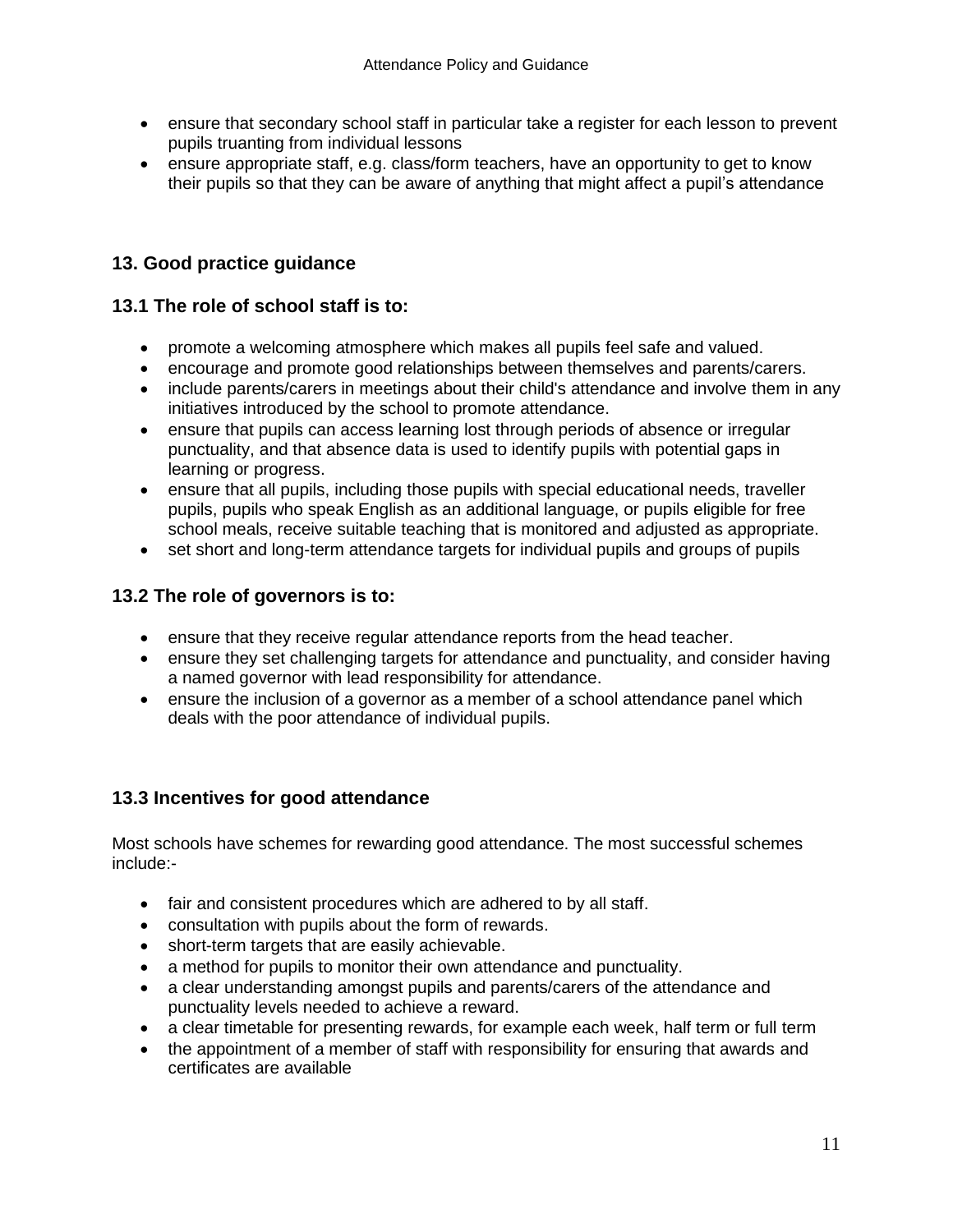- ensure that secondary school staff in particular take a register for each lesson to prevent pupils truanting from individual lessons
- ensure appropriate staff, e.g. class/form teachers, have an opportunity to get to know their pupils so that they can be aware of anything that might affect a pupil's attendance

# **13. Good practice guidance**

#### **13.1 The role of school staff is to:**

- promote a welcoming atmosphere which makes all pupils feel safe and valued.
- encourage and promote good relationships between themselves and parents/carers.
- include parents/carers in meetings about their child's attendance and involve them in any initiatives introduced by the school to promote attendance.
- ensure that pupils can access learning lost through periods of absence or irregular punctuality, and that absence data is used to identify pupils with potential gaps in learning or progress.
- ensure that all pupils, including those pupils with special educational needs, traveller pupils, pupils who speak English as an additional language, or pupils eligible for free school meals, receive suitable teaching that is monitored and adjusted as appropriate.
- set short and long-term attendance targets for individual pupils and groups of pupils

#### **13.2 The role of governors is to:**

- ensure that they receive regular attendance reports from the head teacher.
- ensure they set challenging targets for attendance and punctuality, and consider having a named governor with lead responsibility for attendance.
- ensure the inclusion of a governor as a member of a school attendance panel which deals with the poor attendance of individual pupils.

# **13.3 Incentives for good attendance**

Most schools have schemes for rewarding good attendance. The most successful schemes include:-

- fair and consistent procedures which are adhered to by all staff.
- consultation with pupils about the form of rewards.
- short-term targets that are easily achievable.
- a method for pupils to monitor their own attendance and punctuality.
- a clear understanding amongst pupils and parents/carers of the attendance and punctuality levels needed to achieve a reward.
- a clear timetable for presenting rewards, for example each week, half term or full term
- the appointment of a member of staff with responsibility for ensuring that awards and certificates are available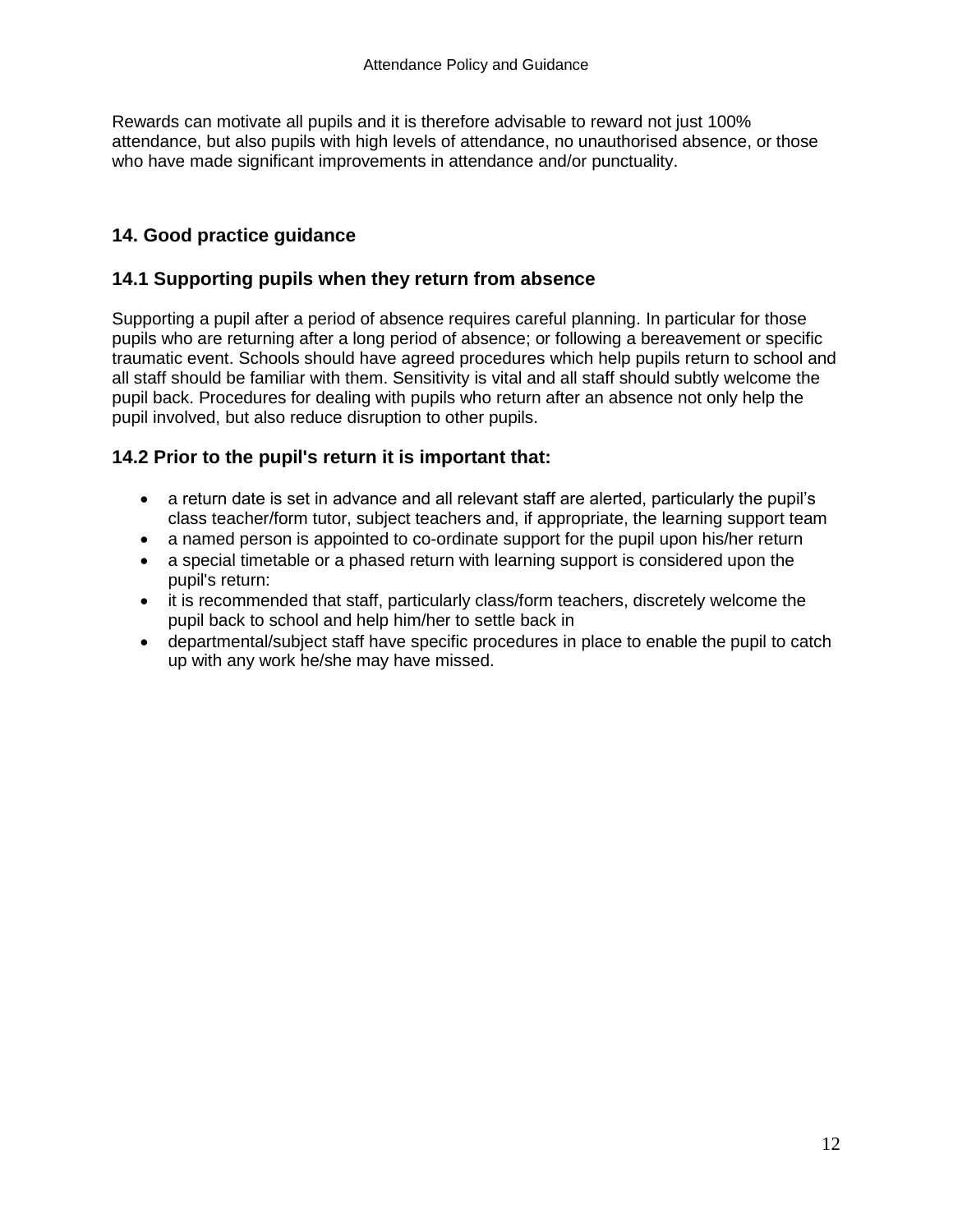Rewards can motivate all pupils and it is therefore advisable to reward not just 100% attendance, but also pupils with high levels of attendance, no unauthorised absence, or those who have made significant improvements in attendance and/or punctuality.

# **14. Good practice guidance**

### **14.1 Supporting pupils when they return from absence**

Supporting a pupil after a period of absence requires careful planning. In particular for those pupils who are returning after a long period of absence; or following a bereavement or specific traumatic event. Schools should have agreed procedures which help pupils return to school and all staff should be familiar with them. Sensitivity is vital and all staff should subtly welcome the pupil back. Procedures for dealing with pupils who return after an absence not only help the pupil involved, but also reduce disruption to other pupils.

# **14.2 Prior to the pupil's return it is important that:**

- a return date is set in advance and all relevant staff are alerted, particularly the pupil's class teacher/form tutor, subject teachers and, if appropriate, the learning support team
- a named person is appointed to co-ordinate support for the pupil upon his/her return
- a special timetable or a phased return with learning support is considered upon the pupil's return:
- it is recommended that staff, particularly class/form teachers, discretely welcome the pupil back to school and help him/her to settle back in
- departmental/subject staff have specific procedures in place to enable the pupil to catch up with any work he/she may have missed.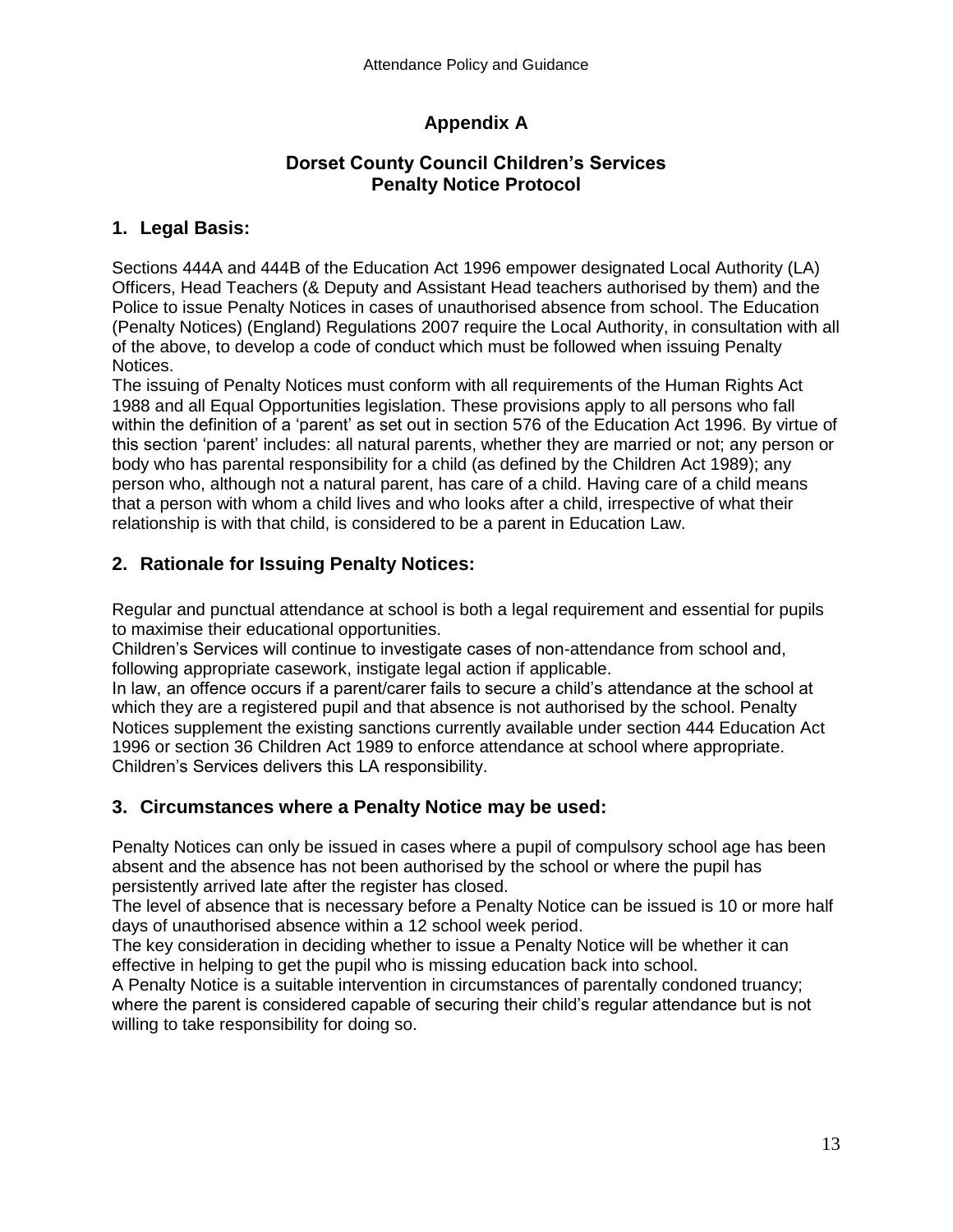# **Appendix A**

# **Dorset County Council Children's Services Penalty Notice Protocol**

# **1. Legal Basis:**

Sections 444A and 444B of the Education Act 1996 empower designated Local Authority (LA) Officers, Head Teachers (& Deputy and Assistant Head teachers authorised by them) and the Police to issue Penalty Notices in cases of unauthorised absence from school. The Education (Penalty Notices) (England) Regulations 2007 require the Local Authority, in consultation with all of the above, to develop a code of conduct which must be followed when issuing Penalty Notices.

The issuing of Penalty Notices must conform with all requirements of the Human Rights Act 1988 and all Equal Opportunities legislation. These provisions apply to all persons who fall within the definition of a 'parent' as set out in section 576 of the Education Act 1996. By virtue of this section 'parent' includes: all natural parents, whether they are married or not; any person or body who has parental responsibility for a child (as defined by the Children Act 1989); any person who, although not a natural parent, has care of a child. Having care of a child means that a person with whom a child lives and who looks after a child, irrespective of what their relationship is with that child, is considered to be a parent in Education Law.

# **2. Rationale for Issuing Penalty Notices:**

Regular and punctual attendance at school is both a legal requirement and essential for pupils to maximise their educational opportunities.

Children's Services will continue to investigate cases of non-attendance from school and, following appropriate casework, instigate legal action if applicable.

In law, an offence occurs if a parent/carer fails to secure a child's attendance at the school at which they are a registered pupil and that absence is not authorised by the school. Penalty Notices supplement the existing sanctions currently available under section 444 Education Act 1996 or section 36 Children Act 1989 to enforce attendance at school where appropriate. Children's Services delivers this LA responsibility.

# **3. Circumstances where a Penalty Notice may be used:**

Penalty Notices can only be issued in cases where a pupil of compulsory school age has been absent and the absence has not been authorised by the school or where the pupil has persistently arrived late after the register has closed.

The level of absence that is necessary before a Penalty Notice can be issued is 10 or more half days of unauthorised absence within a 12 school week period.

The key consideration in deciding whether to issue a Penalty Notice will be whether it can effective in helping to get the pupil who is missing education back into school.

A Penalty Notice is a suitable intervention in circumstances of parentally condoned truancy; where the parent is considered capable of securing their child's regular attendance but is not willing to take responsibility for doing so.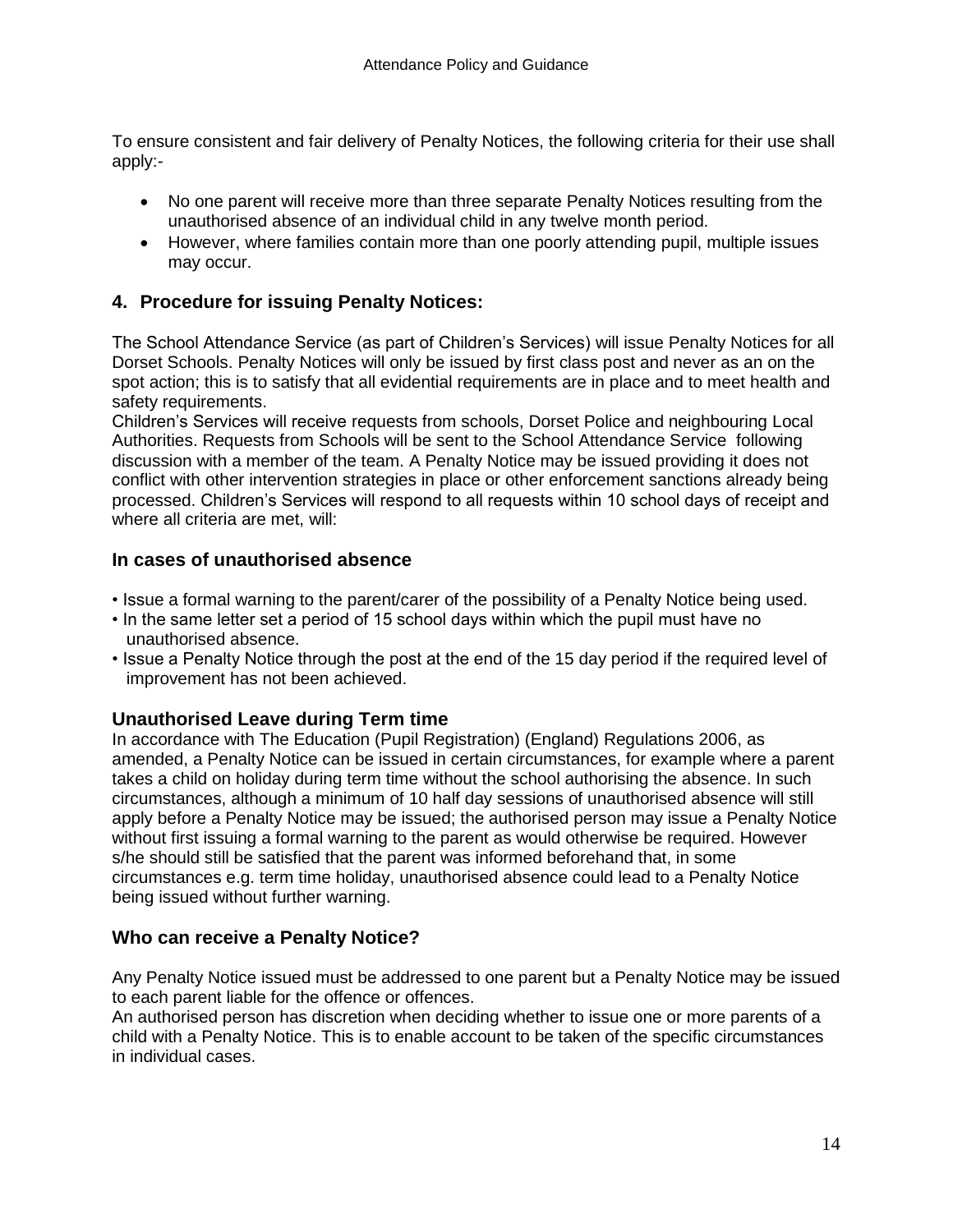To ensure consistent and fair delivery of Penalty Notices, the following criteria for their use shall apply:-

- No one parent will receive more than three separate Penalty Notices resulting from the unauthorised absence of an individual child in any twelve month period.
- However, where families contain more than one poorly attending pupil, multiple issues may occur.

### **4. Procedure for issuing Penalty Notices:**

The School Attendance Service (as part of Children's Services) will issue Penalty Notices for all Dorset Schools. Penalty Notices will only be issued by first class post and never as an on the spot action; this is to satisfy that all evidential requirements are in place and to meet health and safety requirements.

Children's Services will receive requests from schools, Dorset Police and neighbouring Local Authorities. Requests from Schools will be sent to the School Attendance Service following discussion with a member of the team. A Penalty Notice may be issued providing it does not conflict with other intervention strategies in place or other enforcement sanctions already being processed. Children's Services will respond to all requests within 10 school days of receipt and where all criteria are met, will:

#### **In cases of unauthorised absence**

- Issue a formal warning to the parent/carer of the possibility of a Penalty Notice being used.
- In the same letter set a period of 15 school days within which the pupil must have no unauthorised absence.
- Issue a Penalty Notice through the post at the end of the 15 day period if the required level of improvement has not been achieved.

#### **Unauthorised Leave during Term time**

In accordance with The Education (Pupil Registration) (England) Regulations 2006, as amended, a Penalty Notice can be issued in certain circumstances, for example where a parent takes a child on holiday during term time without the school authorising the absence. In such circumstances, although a minimum of 10 half day sessions of unauthorised absence will still apply before a Penalty Notice may be issued; the authorised person may issue a Penalty Notice without first issuing a formal warning to the parent as would otherwise be required. However s/he should still be satisfied that the parent was informed beforehand that, in some circumstances e.g. term time holiday, unauthorised absence could lead to a Penalty Notice being issued without further warning.

#### **Who can receive a Penalty Notice?**

Any Penalty Notice issued must be addressed to one parent but a Penalty Notice may be issued to each parent liable for the offence or offences.

An authorised person has discretion when deciding whether to issue one or more parents of a child with a Penalty Notice. This is to enable account to be taken of the specific circumstances in individual cases.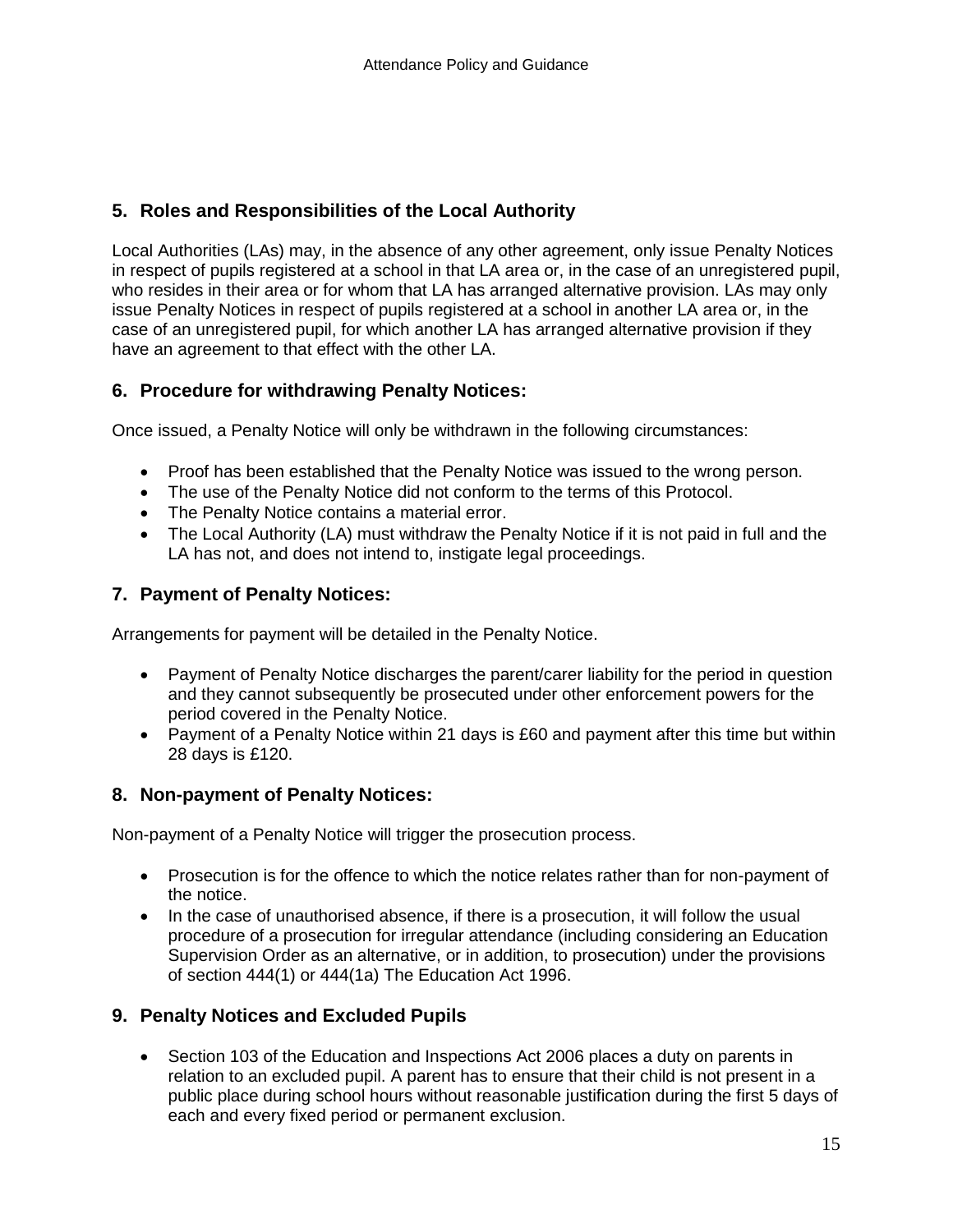# **5. Roles and Responsibilities of the Local Authority**

Local Authorities (LAs) may, in the absence of any other agreement, only issue Penalty Notices in respect of pupils registered at a school in that LA area or, in the case of an unregistered pupil, who resides in their area or for whom that LA has arranged alternative provision. LAs may only issue Penalty Notices in respect of pupils registered at a school in another LA area or, in the case of an unregistered pupil, for which another LA has arranged alternative provision if they have an agreement to that effect with the other LA.

# **6. Procedure for withdrawing Penalty Notices:**

Once issued, a Penalty Notice will only be withdrawn in the following circumstances:

- Proof has been established that the Penalty Notice was issued to the wrong person.
- The use of the Penalty Notice did not conform to the terms of this Protocol.
- The Penalty Notice contains a material error.
- The Local Authority (LA) must withdraw the Penalty Notice if it is not paid in full and the LA has not, and does not intend to, instigate legal proceedings.

# **7. Payment of Penalty Notices:**

Arrangements for payment will be detailed in the Penalty Notice.

- Payment of Penalty Notice discharges the parent/carer liability for the period in question and they cannot subsequently be prosecuted under other enforcement powers for the period covered in the Penalty Notice.
- Payment of a Penalty Notice within 21 days is £60 and payment after this time but within 28 days is £120.

# **8. Non-payment of Penalty Notices:**

Non-payment of a Penalty Notice will trigger the prosecution process.

- Prosecution is for the offence to which the notice relates rather than for non-payment of the notice.
- In the case of unauthorised absence, if there is a prosecution, it will follow the usual procedure of a prosecution for irregular attendance (including considering an Education Supervision Order as an alternative, or in addition, to prosecution) under the provisions of section 444(1) or 444(1a) The Education Act 1996.

#### **9. Penalty Notices and Excluded Pupils**

• Section 103 of the Education and Inspections Act 2006 places a duty on parents in relation to an excluded pupil. A parent has to ensure that their child is not present in a public place during school hours without reasonable justification during the first 5 days of each and every fixed period or permanent exclusion.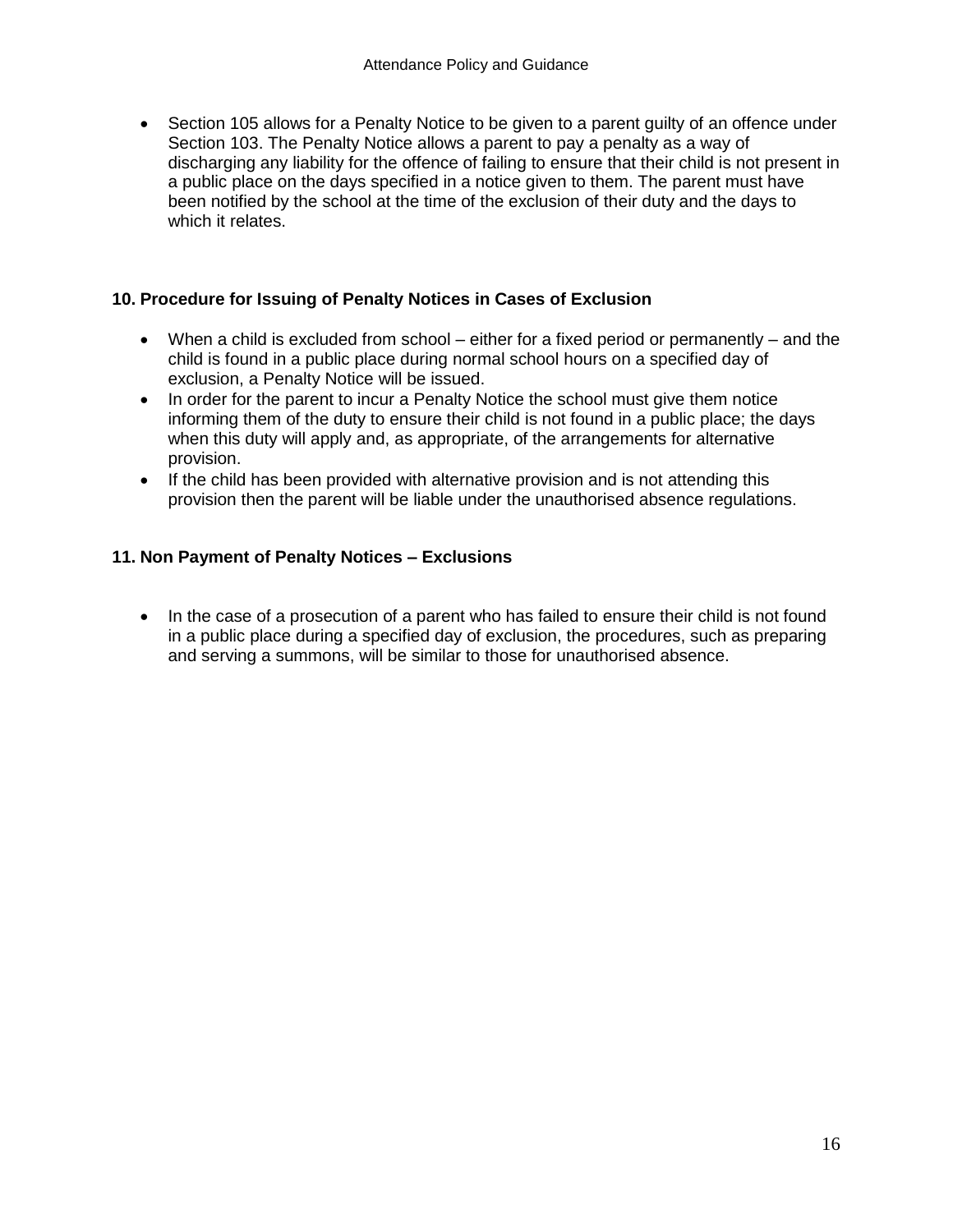• Section 105 allows for a Penalty Notice to be given to a parent guilty of an offence under Section 103. The Penalty Notice allows a parent to pay a penalty as a way of discharging any liability for the offence of failing to ensure that their child is not present in a public place on the days specified in a notice given to them. The parent must have been notified by the school at the time of the exclusion of their duty and the days to which it relates.

#### **10. Procedure for Issuing of Penalty Notices in Cases of Exclusion**

- When a child is excluded from school either for a fixed period or permanently and the child is found in a public place during normal school hours on a specified day of exclusion, a Penalty Notice will be issued.
- In order for the parent to incur a Penalty Notice the school must give them notice informing them of the duty to ensure their child is not found in a public place; the days when this duty will apply and, as appropriate, of the arrangements for alternative provision.
- If the child has been provided with alternative provision and is not attending this provision then the parent will be liable under the unauthorised absence regulations.

#### **11. Non Payment of Penalty Notices – Exclusions**

• In the case of a prosecution of a parent who has failed to ensure their child is not found in a public place during a specified day of exclusion, the procedures, such as preparing and serving a summons, will be similar to those for unauthorised absence.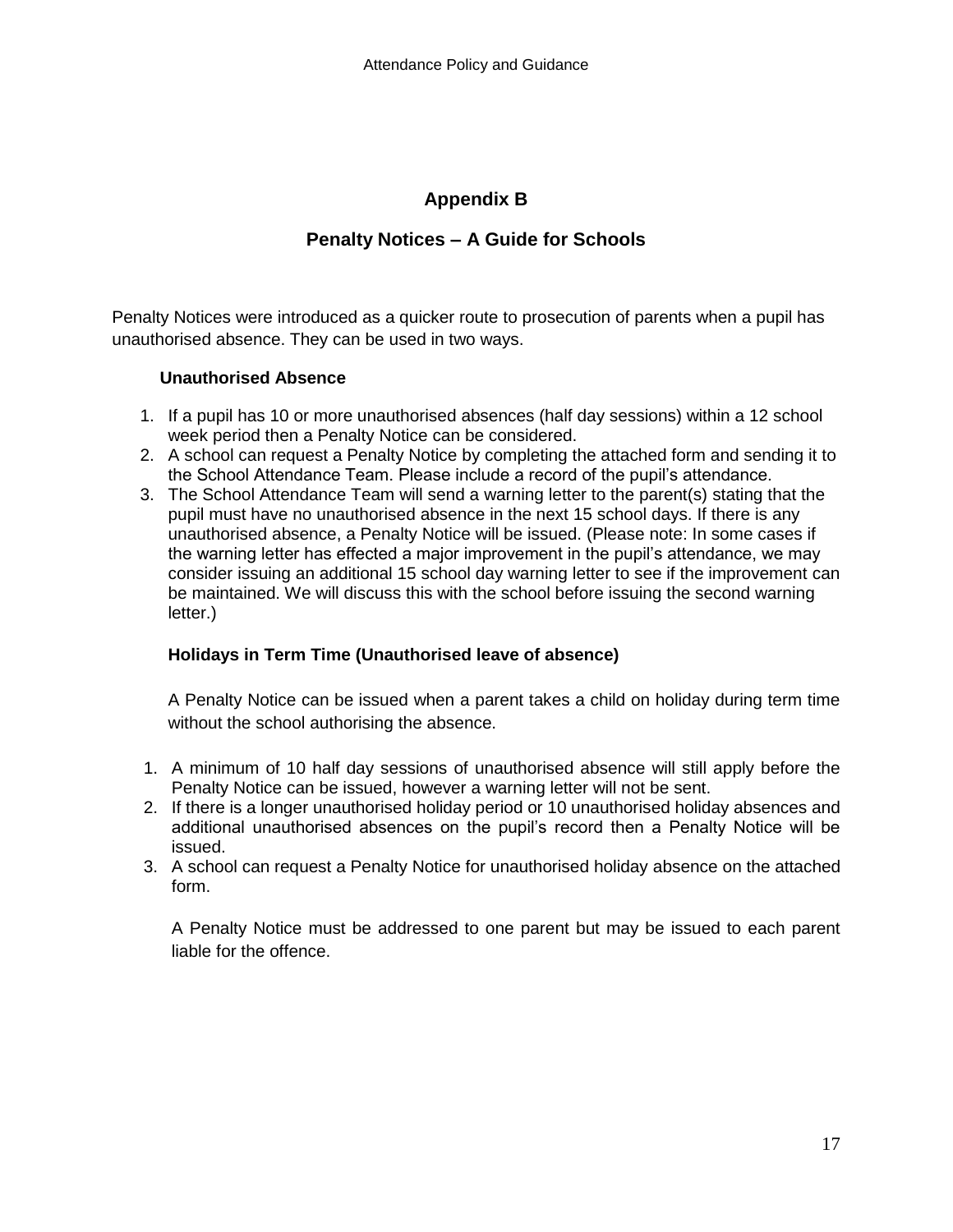### **Appendix B**

### **Penalty Notices – A Guide for Schools**

Penalty Notices were introduced as a quicker route to prosecution of parents when a pupil has unauthorised absence. They can be used in two ways.

#### **Unauthorised Absence**

- 1. If a pupil has 10 or more unauthorised absences (half day sessions) within a 12 school week period then a Penalty Notice can be considered.
- 2. A school can request a Penalty Notice by completing the attached form and sending it to the School Attendance Team. Please include a record of the pupil's attendance.
- 3. The School Attendance Team will send a warning letter to the parent(s) stating that the pupil must have no unauthorised absence in the next 15 school days. If there is any unauthorised absence, a Penalty Notice will be issued. (Please note: In some cases if the warning letter has effected a major improvement in the pupil's attendance, we may consider issuing an additional 15 school day warning letter to see if the improvement can be maintained. We will discuss this with the school before issuing the second warning letter.)

#### **Holidays in Term Time (Unauthorised leave of absence)**

A Penalty Notice can be issued when a parent takes a child on holiday during term time without the school authorising the absence.

- 1. A minimum of 10 half day sessions of unauthorised absence will still apply before the Penalty Notice can be issued, however a warning letter will not be sent.
- 2. If there is a longer unauthorised holiday period or 10 unauthorised holiday absences and additional unauthorised absences on the pupil's record then a Penalty Notice will be issued.
- 3. A school can request a Penalty Notice for unauthorised holiday absence on the attached form.

A Penalty Notice must be addressed to one parent but may be issued to each parent liable for the offence.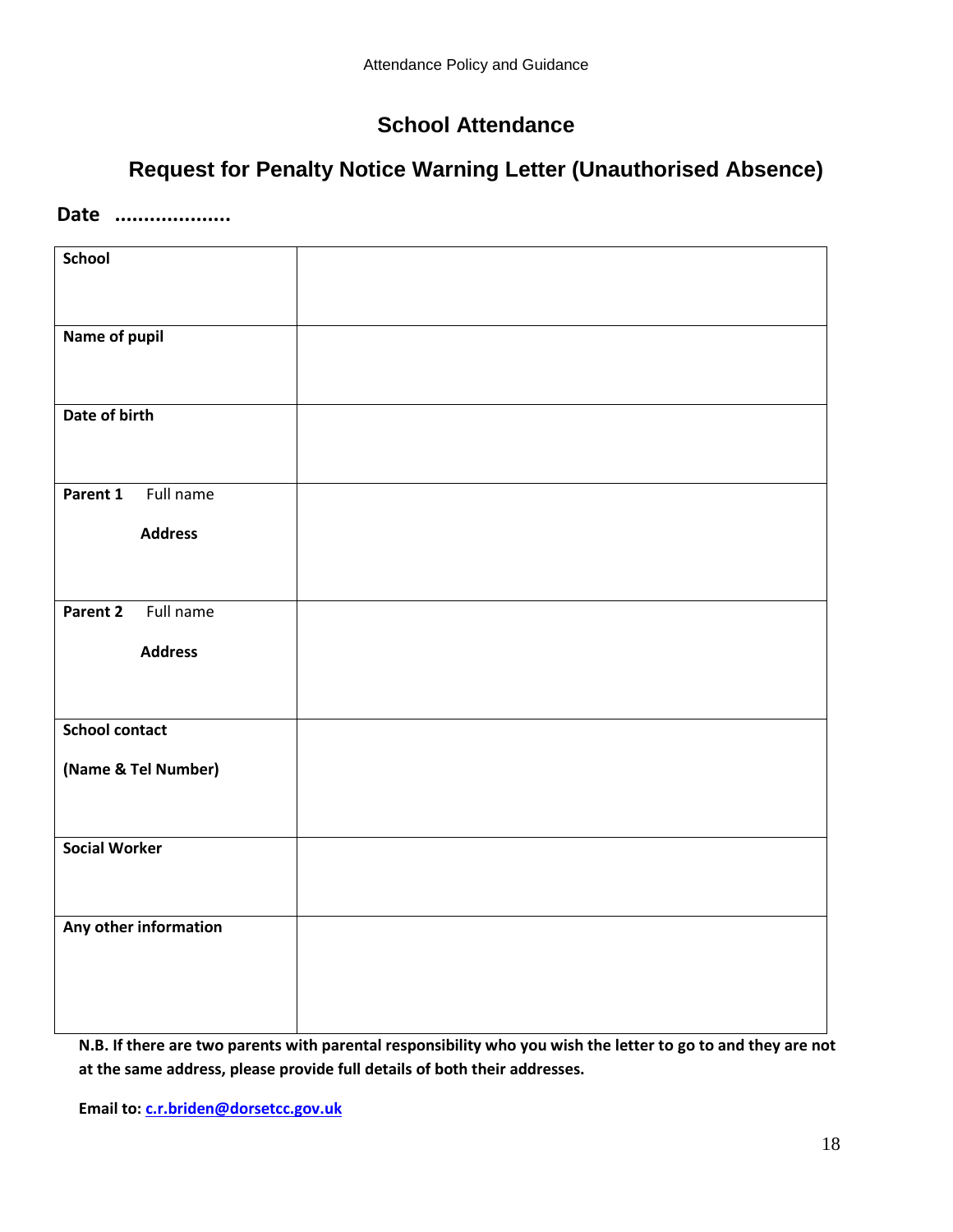# **School Attendance**

# **Request for Penalty Notice Warning Letter (Unauthorised Absence)**

#### **Date ....................**

| <b>School</b>         |  |
|-----------------------|--|
|                       |  |
| Name of pupil         |  |
|                       |  |
| Date of birth         |  |
|                       |  |
|                       |  |
| Full name<br>Parent 1 |  |
| <b>Address</b>        |  |
|                       |  |
|                       |  |
| Full name<br>Parent 2 |  |
| <b>Address</b>        |  |
|                       |  |
| <b>School contact</b> |  |
|                       |  |
| (Name & Tel Number)   |  |
|                       |  |
| <b>Social Worker</b>  |  |
|                       |  |
|                       |  |
| Any other information |  |
|                       |  |
|                       |  |
|                       |  |

**N.B. If there are two parents with parental responsibility who you wish the letter to go to and they are not at the same address, please provide full details of both their addresses.**

**Email to[: c.r.briden@dorsetcc.gov.uk](mailto:c.r.briden@dorsetcc.gov.uk)**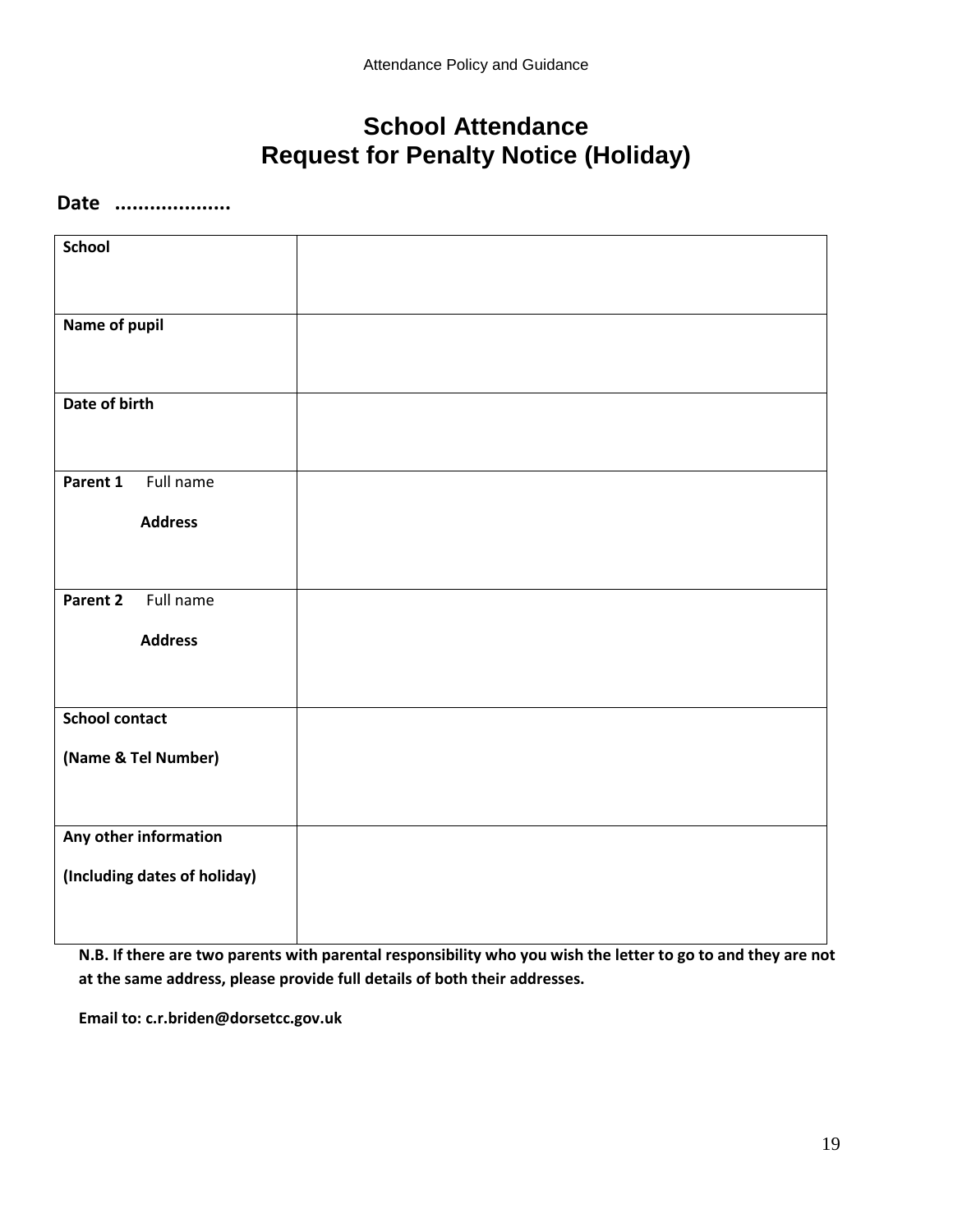# **School Attendance Request for Penalty Notice (Holiday)**

#### **Date ....................**

| <b>School</b>                |  |
|------------------------------|--|
|                              |  |
| Name of pupil                |  |
| Date of birth                |  |
| Full name<br>Parent 1        |  |
| <b>Address</b>               |  |
| Parent 2<br>Full name        |  |
| <b>Address</b>               |  |
| <b>School contact</b>        |  |
| (Name & Tel Number)          |  |
| Any other information        |  |
| (Including dates of holiday) |  |

**N.B. If there are two parents with parental responsibility who you wish the letter to go to and they are not at the same address, please provide full details of both their addresses.**

**Email to: c.r.briden@dorsetcc.gov.uk**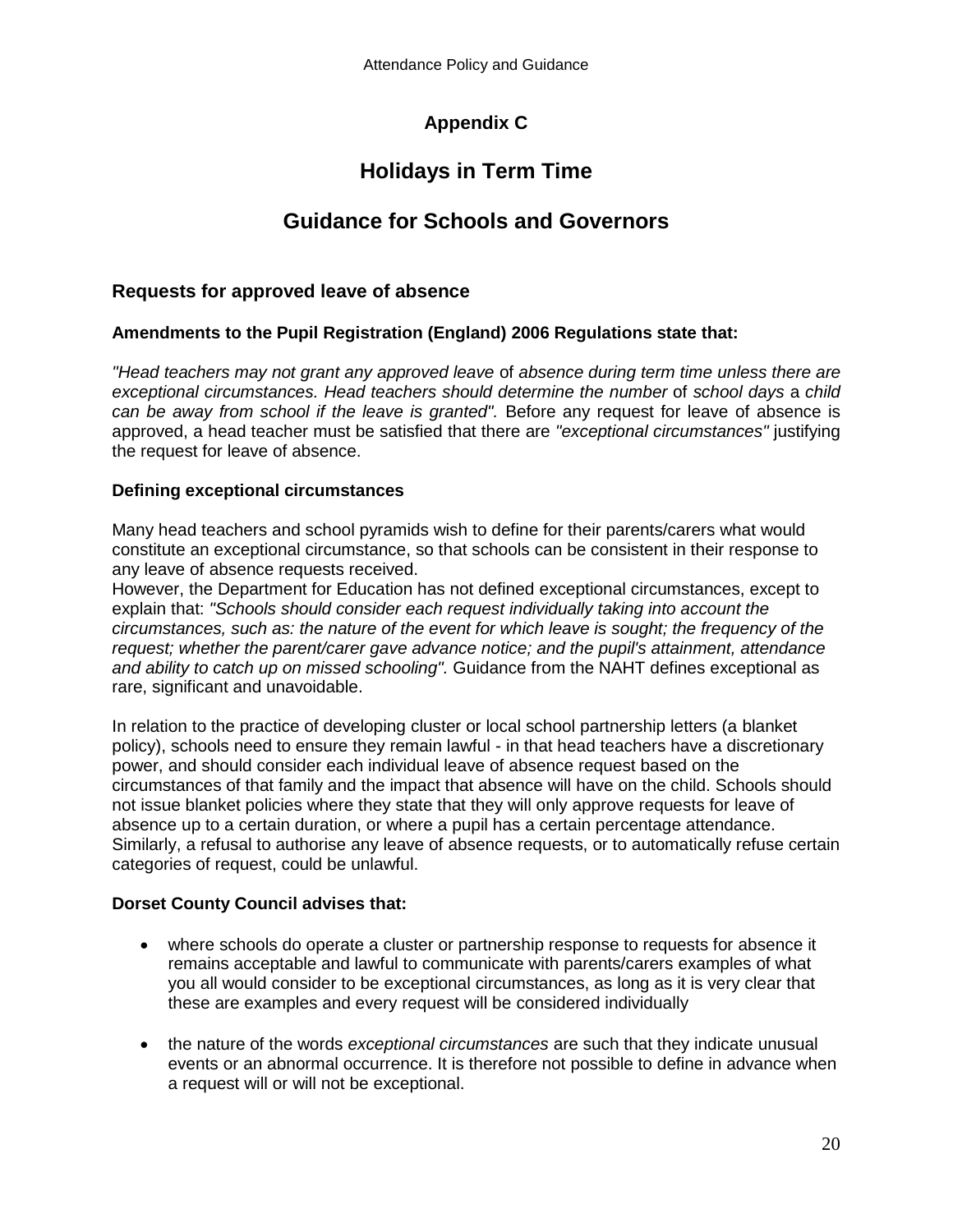# **Appendix C**

# **Holidays in Term Time**

# **Guidance for Schools and Governors**

#### **Requests for approved leave of absence**

#### **Amendments to the Pupil Registration (England) 2006 Regulations state that:**

*"Head teachers may not grant any approved leave* of *absence during term time unless there are exceptional circumstances. Head teachers should determine the number* of *school days* a *child can be away from school if the leave is granted".* Before any request for leave of absence is approved, a head teacher must be satisfied that there are *"exceptional circumstances"* justifying the request for leave of absence.

#### **Defining exceptional circumstances**

Many head teachers and school pyramids wish to define for their parents/carers what would constitute an exceptional circumstance, so that schools can be consistent in their response to any leave of absence requests received.

However, the Department for Education has not defined exceptional circumstances, except to explain that: *"Schools should consider each request individually taking into account the circumstances, such as: the nature of the event for which leave is sought; the frequency of the request; whether the parent/carer gave advance notice; and the pupil's attainment, attendance and ability to catch up on missed schooling".* Guidance from the NAHT defines exceptional as rare, significant and unavoidable.

In relation to the practice of developing cluster or local school partnership letters (a blanket policy), schools need to ensure they remain lawful - in that head teachers have a discretionary power, and should consider each individual leave of absence request based on the circumstances of that family and the impact that absence will have on the child. Schools should not issue blanket policies where they state that they will only approve requests for leave of absence up to a certain duration, or where a pupil has a certain percentage attendance. Similarly, a refusal to authorise any leave of absence requests, or to automatically refuse certain categories of request, could be unlawful.

#### **Dorset County Council advises that:**

- where schools do operate a cluster or partnership response to requests for absence it remains acceptable and lawful to communicate with parents/carers examples of what you all would consider to be exceptional circumstances, as long as it is very clear that these are examples and every request will be considered individually
- the nature of the words *exceptional circumstances* are such that they indicate unusual events or an abnormal occurrence. It is therefore not possible to define in advance when a request will or will not be exceptional.